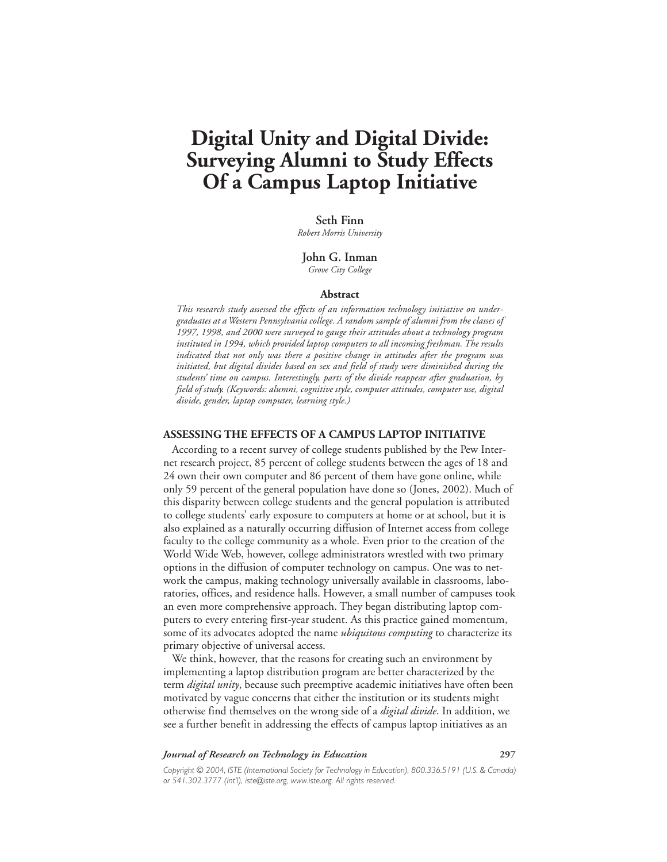# **Digital Unity and Digital Divide: Surveying Alumni to Study Effects Of a Campus Laptop Initiative**

# **Seth Finn**

*Robert Morris University*

# **John G. Inman** *Grove City College*

## **Abstract**

*This research study assessed the effects of an information technology initiative on undergraduates at a Western Pennsylvania college. A random sample of alumni from the classes of 1997, 1998, and 2000 were surveyed to gauge their attitudes about a technology program instituted in 1994, which provided laptop computers to all incoming freshman. The results indicated that not only was there a positive change in attitudes after the program was initiated, but digital divides based on sex and field of study were diminished during the students' time on campus. Interestingly, parts of the divide reappear after graduation, by field of study. (Keywords: alumni, cognitive style, computer attitudes, computer use, digital divide, gender, laptop computer, learning style.)*

## **ASSESSING THE EFFECTS OF A CAMPUS LAPTOP INITIATIVE**

According to a recent survey of college students published by the Pew Internet research project, 85 percent of college students between the ages of 18 and 24 own their own computer and 86 percent of them have gone online, while only 59 percent of the general population have done so (Jones, 2002). Much of this disparity between college students and the general population is attributed to college students' early exposure to computers at home or at school, but it is also explained as a naturally occurring diffusion of Internet access from college faculty to the college community as a whole. Even prior to the creation of the World Wide Web, however, college administrators wrestled with two primary options in the diffusion of computer technology on campus. One was to network the campus, making technology universally available in classrooms, laboratories, offices, and residence halls. However, a small number of campuses took an even more comprehensive approach. They began distributing laptop computers to every entering first-year student. As this practice gained momentum, some of its advocates adopted the name *ubiquitous computing* to characterize its primary objective of universal access.

We think, however, that the reasons for creating such an environment by implementing a laptop distribution program are better characterized by the term *digital unity*, because such preemptive academic initiatives have often been motivated by vague concerns that either the institution or its students might otherwise find themselves on the wrong side of a *digital divide*. In addition, we see a further benefit in addressing the effects of campus laptop initiatives as an

# *Journal of Research on Technology in Education* **297**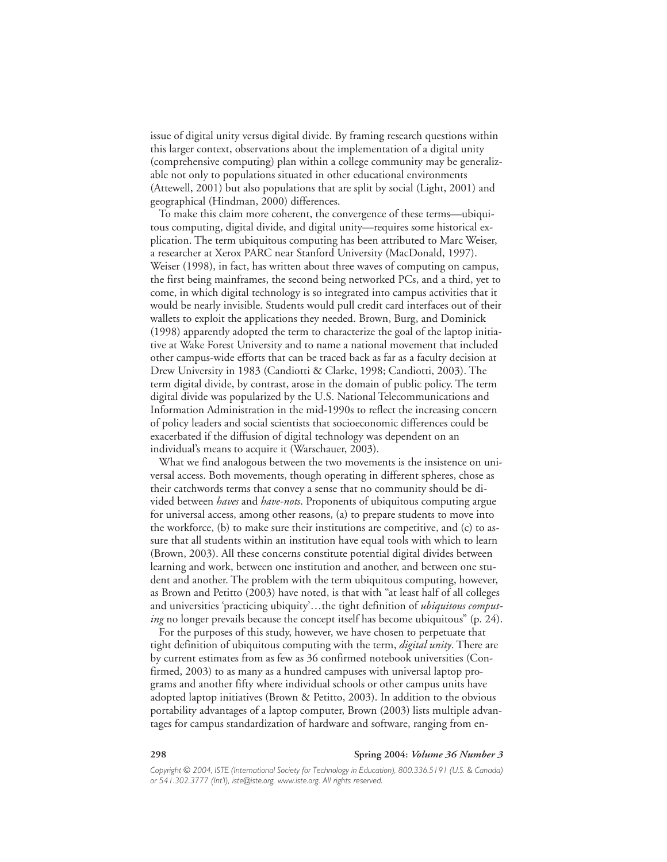issue of digital unity versus digital divide. By framing research questions within this larger context, observations about the implementation of a digital unity (comprehensive computing) plan within a college community may be generalizable not only to populations situated in other educational environments (Attewell, 2001) but also populations that are split by social (Light, 2001) and geographical (Hindman, 2000) differences.

To make this claim more coherent, the convergence of these terms—ubiquitous computing, digital divide, and digital unity—requires some historical explication. The term ubiquitous computing has been attributed to Marc Weiser, a researcher at Xerox PARC near Stanford University (MacDonald, 1997). Weiser (1998), in fact, has written about three waves of computing on campus, the first being mainframes, the second being networked PCs, and a third, yet to come, in which digital technology is so integrated into campus activities that it would be nearly invisible. Students would pull credit card interfaces out of their wallets to exploit the applications they needed. Brown, Burg, and Dominick (1998) apparently adopted the term to characterize the goal of the laptop initiative at Wake Forest University and to name a national movement that included other campus-wide efforts that can be traced back as far as a faculty decision at Drew University in 1983 (Candiotti & Clarke, 1998; Candiotti, 2003). The term digital divide, by contrast, arose in the domain of public policy. The term digital divide was popularized by the U.S. National Telecommunications and Information Administration in the mid-1990s to reflect the increasing concern of policy leaders and social scientists that socioeconomic differences could be exacerbated if the diffusion of digital technology was dependent on an individual's means to acquire it (Warschauer, 2003).

What we find analogous between the two movements is the insistence on universal access. Both movements, though operating in different spheres, chose as their catchwords terms that convey a sense that no community should be divided between *haves* and *have-nots*. Proponents of ubiquitous computing argue for universal access, among other reasons, (a) to prepare students to move into the workforce, (b) to make sure their institutions are competitive, and (c) to assure that all students within an institution have equal tools with which to learn (Brown, 2003). All these concerns constitute potential digital divides between learning and work, between one institution and another, and between one student and another. The problem with the term ubiquitous computing, however, as Brown and Petitto (2003) have noted, is that with "at least half of all colleges and universities 'practicing ubiquity'…the tight definition of *ubiquitous computing* no longer prevails because the concept itself has become ubiquitous" (p. 24).

For the purposes of this study, however, we have chosen to perpetuate that tight definition of ubiquitous computing with the term, *digital unity*. There are by current estimates from as few as 36 confirmed notebook universities (Confirmed, 2003) to as many as a hundred campuses with universal laptop programs and another fifty where individual schools or other campus units have adopted laptop initiatives (Brown & Petitto, 2003). In addition to the obvious portability advantages of a laptop computer, Brown (2003) lists multiple advantages for campus standardization of hardware and software, ranging from en-

*Copyright © 2004, ISTE (International Society for Technology in Education), 800.336.5191 (U.S. & Canada) or 541.302.3777 (Int'l), iste@iste.org, www.iste.org. All rights reserved.*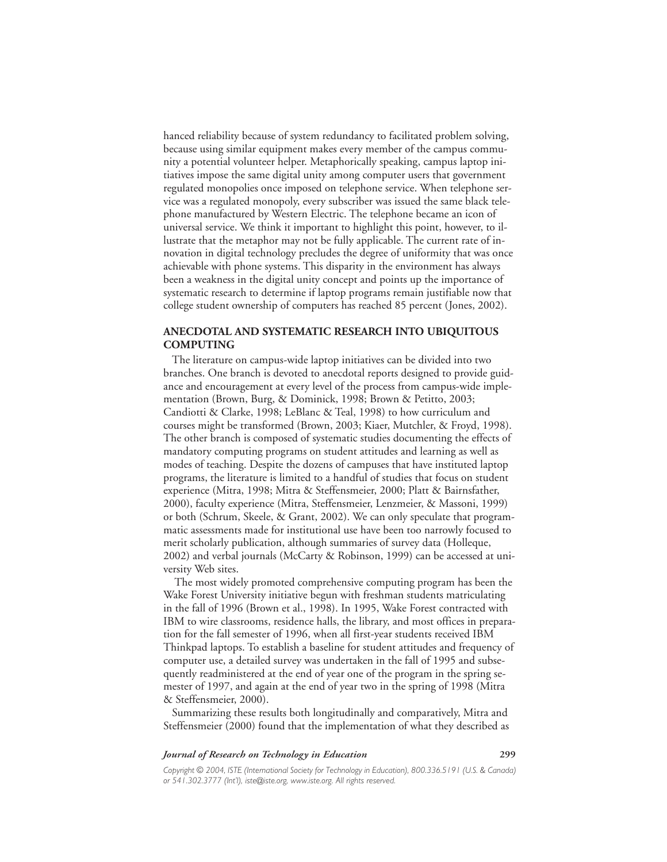hanced reliability because of system redundancy to facilitated problem solving, because using similar equipment makes every member of the campus community a potential volunteer helper. Metaphorically speaking, campus laptop initiatives impose the same digital unity among computer users that government regulated monopolies once imposed on telephone service. When telephone service was a regulated monopoly, every subscriber was issued the same black telephone manufactured by Western Electric. The telephone became an icon of universal service. We think it important to highlight this point, however, to illustrate that the metaphor may not be fully applicable. The current rate of innovation in digital technology precludes the degree of uniformity that was once achievable with phone systems. This disparity in the environment has always been a weakness in the digital unity concept and points up the importance of systematic research to determine if laptop programs remain justifiable now that college student ownership of computers has reached 85 percent (Jones, 2002).

# **ANECDOTAL AND SYSTEMATIC RESEARCH INTO UBIQUITOUS COMPUTING**

The literature on campus-wide laptop initiatives can be divided into two branches. One branch is devoted to anecdotal reports designed to provide guidance and encouragement at every level of the process from campus-wide implementation (Brown, Burg, & Dominick, 1998; Brown & Petitto, 2003; Candiotti & Clarke, 1998; LeBlanc & Teal, 1998) to how curriculum and courses might be transformed (Brown, 2003; Kiaer, Mutchler, & Froyd, 1998). The other branch is composed of systematic studies documenting the effects of mandatory computing programs on student attitudes and learning as well as modes of teaching. Despite the dozens of campuses that have instituted laptop programs, the literature is limited to a handful of studies that focus on student experience (Mitra, 1998; Mitra & Steffensmeier, 2000; Platt & Bairnsfather, 2000), faculty experience (Mitra, Steffensmeier, Lenzmeier, & Massoni, 1999) or both (Schrum, Skeele, & Grant, 2002). We can only speculate that programmatic assessments made for institutional use have been too narrowly focused to merit scholarly publication, although summaries of survey data (Holleque, 2002) and verbal journals (McCarty & Robinson, 1999) can be accessed at university Web sites.

 The most widely promoted comprehensive computing program has been the Wake Forest University initiative begun with freshman students matriculating in the fall of 1996 (Brown et al., 1998). In 1995, Wake Forest contracted with IBM to wire classrooms, residence halls, the library, and most offices in preparation for the fall semester of 1996, when all first-year students received IBM Thinkpad laptops. To establish a baseline for student attitudes and frequency of computer use, a detailed survey was undertaken in the fall of 1995 and subsequently readministered at the end of year one of the program in the spring semester of 1997, and again at the end of year two in the spring of 1998 (Mitra & Steffensmeier, 2000).

Summarizing these results both longitudinally and comparatively, Mitra and Steffensmeier (2000) found that the implementation of what they described as

# *Journal of Research on Technology in Education* **299**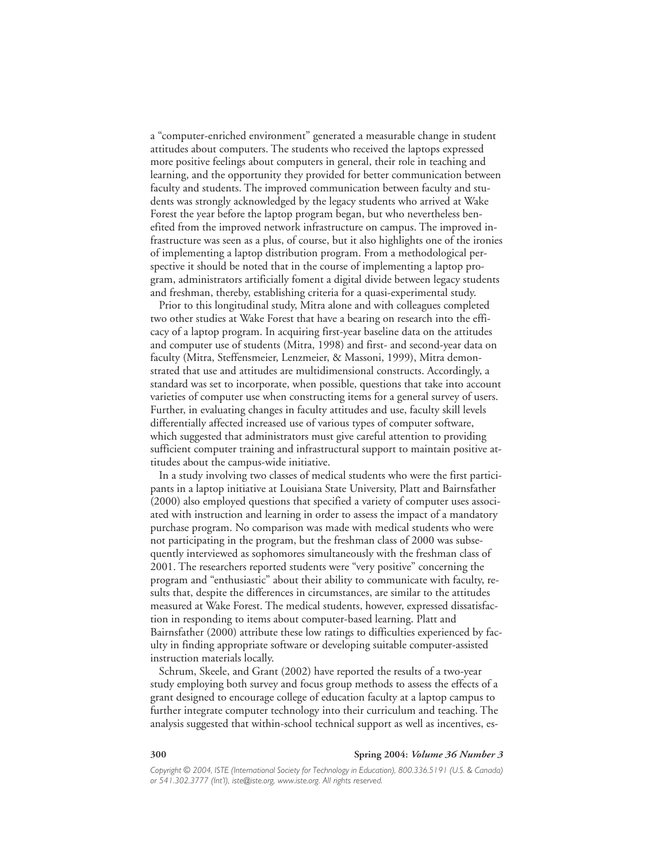a "computer-enriched environment" generated a measurable change in student attitudes about computers. The students who received the laptops expressed more positive feelings about computers in general, their role in teaching and learning, and the opportunity they provided for better communication between faculty and students. The improved communication between faculty and students was strongly acknowledged by the legacy students who arrived at Wake Forest the year before the laptop program began, but who nevertheless benefited from the improved network infrastructure on campus. The improved infrastructure was seen as a plus, of course, but it also highlights one of the ironies of implementing a laptop distribution program. From a methodological perspective it should be noted that in the course of implementing a laptop program, administrators artificially foment a digital divide between legacy students and freshman, thereby, establishing criteria for a quasi-experimental study.

Prior to this longitudinal study, Mitra alone and with colleagues completed two other studies at Wake Forest that have a bearing on research into the efficacy of a laptop program. In acquiring first-year baseline data on the attitudes and computer use of students (Mitra, 1998) and first- and second-year data on faculty (Mitra, Steffensmeier, Lenzmeier, & Massoni, 1999), Mitra demonstrated that use and attitudes are multidimensional constructs. Accordingly, a standard was set to incorporate, when possible, questions that take into account varieties of computer use when constructing items for a general survey of users. Further, in evaluating changes in faculty attitudes and use, faculty skill levels differentially affected increased use of various types of computer software, which suggested that administrators must give careful attention to providing sufficient computer training and infrastructural support to maintain positive attitudes about the campus-wide initiative.

In a study involving two classes of medical students who were the first participants in a laptop initiative at Louisiana State University, Platt and Bairnsfather (2000) also employed questions that specified a variety of computer uses associated with instruction and learning in order to assess the impact of a mandatory purchase program. No comparison was made with medical students who were not participating in the program, but the freshman class of 2000 was subsequently interviewed as sophomores simultaneously with the freshman class of 2001. The researchers reported students were "very positive" concerning the program and "enthusiastic" about their ability to communicate with faculty, results that, despite the differences in circumstances, are similar to the attitudes measured at Wake Forest. The medical students, however, expressed dissatisfaction in responding to items about computer-based learning. Platt and Bairnsfather (2000) attribute these low ratings to difficulties experienced by faculty in finding appropriate software or developing suitable computer-assisted instruction materials locally.

Schrum, Skeele, and Grant (2002) have reported the results of a two-year study employing both survey and focus group methods to assess the effects of a grant designed to encourage college of education faculty at a laptop campus to further integrate computer technology into their curriculum and teaching. The analysis suggested that within-school technical support as well as incentives, es-

*Copyright © 2004, ISTE (International Society for Technology in Education), 800.336.5191 (U.S. & Canada) or 541.302.3777 (Int'l), iste@iste.org, www.iste.org. All rights reserved.*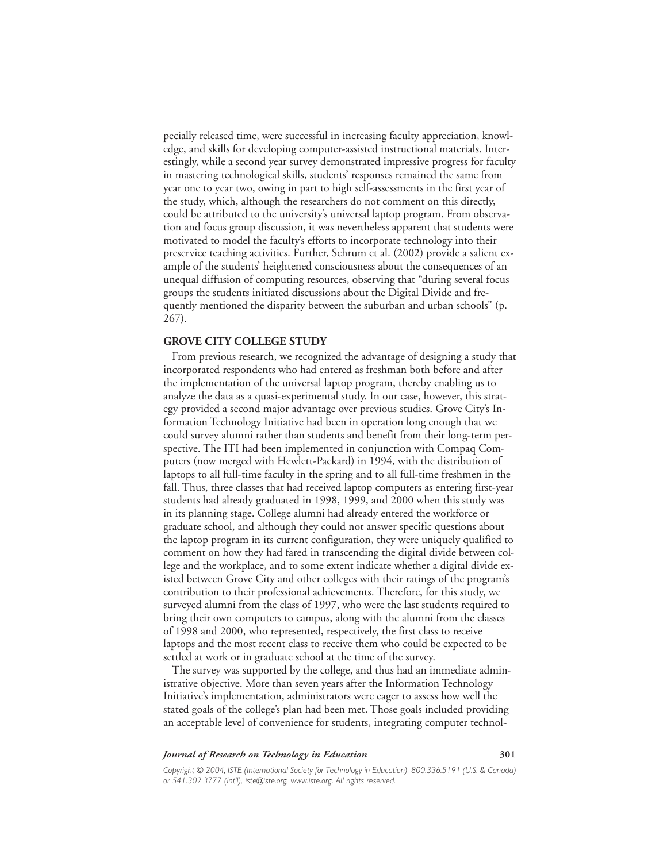pecially released time, were successful in increasing faculty appreciation, knowledge, and skills for developing computer-assisted instructional materials. Interestingly, while a second year survey demonstrated impressive progress for faculty in mastering technological skills, students' responses remained the same from year one to year two, owing in part to high self-assessments in the first year of the study, which, although the researchers do not comment on this directly, could be attributed to the university's universal laptop program. From observation and focus group discussion, it was nevertheless apparent that students were motivated to model the faculty's efforts to incorporate technology into their preservice teaching activities. Further, Schrum et al. (2002) provide a salient example of the students' heightened consciousness about the consequences of an unequal diffusion of computing resources, observing that "during several focus groups the students initiated discussions about the Digital Divide and frequently mentioned the disparity between the suburban and urban schools" (p. 267).

# **GROVE CITY COLLEGE STUDY**

From previous research, we recognized the advantage of designing a study that incorporated respondents who had entered as freshman both before and after the implementation of the universal laptop program, thereby enabling us to analyze the data as a quasi-experimental study. In our case, however, this strategy provided a second major advantage over previous studies. Grove City's Information Technology Initiative had been in operation long enough that we could survey alumni rather than students and benefit from their long-term perspective. The ITI had been implemented in conjunction with Compaq Computers (now merged with Hewlett-Packard) in 1994, with the distribution of laptops to all full-time faculty in the spring and to all full-time freshmen in the fall. Thus, three classes that had received laptop computers as entering first-year students had already graduated in 1998, 1999, and 2000 when this study was in its planning stage. College alumni had already entered the workforce or graduate school, and although they could not answer specific questions about the laptop program in its current configuration, they were uniquely qualified to comment on how they had fared in transcending the digital divide between college and the workplace, and to some extent indicate whether a digital divide existed between Grove City and other colleges with their ratings of the program's contribution to their professional achievements. Therefore, for this study, we surveyed alumni from the class of 1997, who were the last students required to bring their own computers to campus, along with the alumni from the classes of 1998 and 2000, who represented, respectively, the first class to receive laptops and the most recent class to receive them who could be expected to be settled at work or in graduate school at the time of the survey.

The survey was supported by the college, and thus had an immediate administrative objective. More than seven years after the Information Technology Initiative's implementation, administrators were eager to assess how well the stated goals of the college's plan had been met. Those goals included providing an acceptable level of convenience for students, integrating computer technol-

# *Journal of Research on Technology in Education* **301**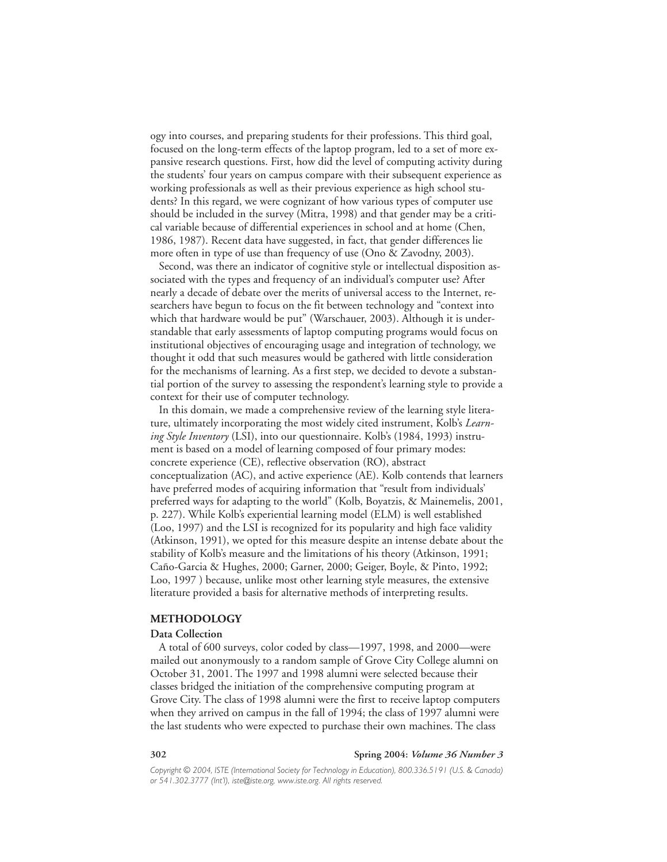ogy into courses, and preparing students for their professions. This third goal, focused on the long-term effects of the laptop program, led to a set of more expansive research questions. First, how did the level of computing activity during the students' four years on campus compare with their subsequent experience as working professionals as well as their previous experience as high school students? In this regard, we were cognizant of how various types of computer use should be included in the survey (Mitra, 1998) and that gender may be a critical variable because of differential experiences in school and at home (Chen, 1986, 1987). Recent data have suggested, in fact, that gender differences lie more often in type of use than frequency of use (Ono & Zavodny, 2003).

Second, was there an indicator of cognitive style or intellectual disposition associated with the types and frequency of an individual's computer use? After nearly a decade of debate over the merits of universal access to the Internet, researchers have begun to focus on the fit between technology and "context into which that hardware would be put" (Warschauer, 2003). Although it is understandable that early assessments of laptop computing programs would focus on institutional objectives of encouraging usage and integration of technology, we thought it odd that such measures would be gathered with little consideration for the mechanisms of learning. As a first step, we decided to devote a substantial portion of the survey to assessing the respondent's learning style to provide a context for their use of computer technology.

In this domain, we made a comprehensive review of the learning style literature, ultimately incorporating the most widely cited instrument, Kolb's *Learning Style Inventory* (LSI), into our questionnaire. Kolb's (1984, 1993) instrument is based on a model of learning composed of four primary modes: concrete experience (CE), reflective observation (RO), abstract conceptualization (AC), and active experience (AE). Kolb contends that learners have preferred modes of acquiring information that "result from individuals' preferred ways for adapting to the world" (Kolb, Boyatzis, & Mainemelis, 2001, p. 227). While Kolb's experiential learning model (ELM) is well established (Loo, 1997) and the LSI is recognized for its popularity and high face validity (Atkinson, 1991), we opted for this measure despite an intense debate about the stability of Kolb's measure and the limitations of his theory (Atkinson, 1991; Caño-Garcia & Hughes, 2000; Garner, 2000; Geiger, Boyle, & Pinto, 1992; Loo, 1997 ) because, unlike most other learning style measures, the extensive literature provided a basis for alternative methods of interpreting results.

# **METHODOLOGY**

# **Data Collection**

A total of 600 surveys, color coded by class—1997, 1998, and 2000—were mailed out anonymously to a random sample of Grove City College alumni on October 31, 2001. The 1997 and 1998 alumni were selected because their classes bridged the initiation of the comprehensive computing program at Grove City. The class of 1998 alumni were the first to receive laptop computers when they arrived on campus in the fall of 1994; the class of 1997 alumni were the last students who were expected to purchase their own machines. The class

#### **302 Spring 2004:** *Volume 36 Number 3*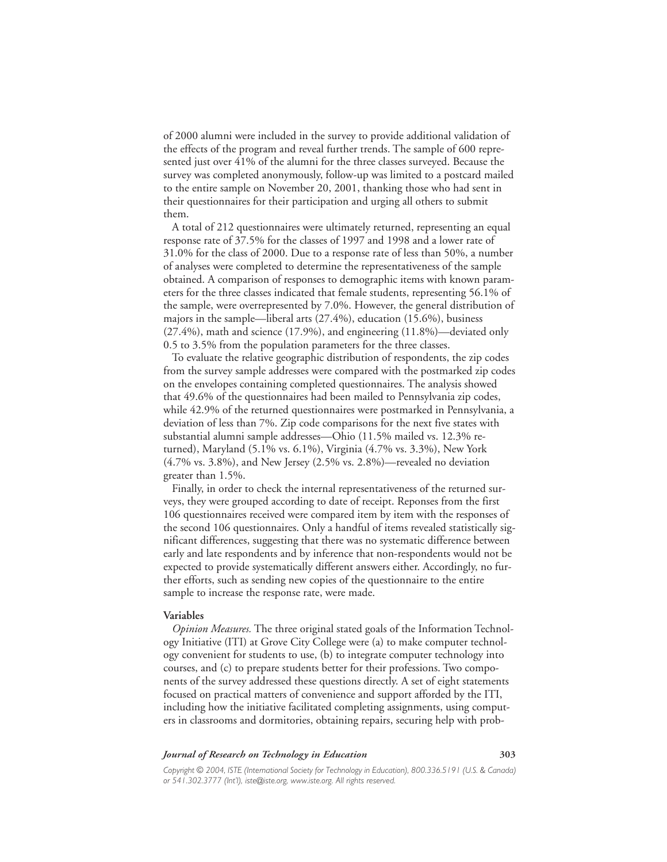of 2000 alumni were included in the survey to provide additional validation of the effects of the program and reveal further trends. The sample of 600 represented just over 41% of the alumni for the three classes surveyed. Because the survey was completed anonymously, follow-up was limited to a postcard mailed to the entire sample on November 20, 2001, thanking those who had sent in their questionnaires for their participation and urging all others to submit them.

A total of 212 questionnaires were ultimately returned, representing an equal response rate of 37.5% for the classes of 1997 and 1998 and a lower rate of 31.0% for the class of 2000. Due to a response rate of less than 50%, a number of analyses were completed to determine the representativeness of the sample obtained. A comparison of responses to demographic items with known parameters for the three classes indicated that female students, representing 56.1% of the sample, were overrepresented by 7.0%. However, the general distribution of majors in the sample—liberal arts (27.4%), education (15.6%), business (27.4%), math and science (17.9%), and engineering (11.8%)—deviated only 0.5 to 3.5% from the population parameters for the three classes.

To evaluate the relative geographic distribution of respondents, the zip codes from the survey sample addresses were compared with the postmarked zip codes on the envelopes containing completed questionnaires. The analysis showed that 49.6% of the questionnaires had been mailed to Pennsylvania zip codes, while 42.9% of the returned questionnaires were postmarked in Pennsylvania, a deviation of less than 7%. Zip code comparisons for the next five states with substantial alumni sample addresses—Ohio (11.5% mailed vs. 12.3% returned), Maryland (5.1% vs. 6.1%), Virginia (4.7% vs. 3.3%), New York (4.7% vs. 3.8%), and New Jersey (2.5% vs. 2.8%)—revealed no deviation greater than 1.5%.

Finally, in order to check the internal representativeness of the returned surveys, they were grouped according to date of receipt. Reponses from the first 106 questionnaires received were compared item by item with the responses of the second 106 questionnaires. Only a handful of items revealed statistically significant differences, suggesting that there was no systematic difference between early and late respondents and by inference that non-respondents would not be expected to provide systematically different answers either. Accordingly, no further efforts, such as sending new copies of the questionnaire to the entire sample to increase the response rate, were made.

### **Variables**

*Opinion Measures.* The three original stated goals of the Information Technology Initiative (ITI) at Grove City College were (a) to make computer technology convenient for students to use, (b) to integrate computer technology into courses, and (c) to prepare students better for their professions. Two components of the survey addressed these questions directly. A set of eight statements focused on practical matters of convenience and support afforded by the ITI, including how the initiative facilitated completing assignments, using computers in classrooms and dormitories, obtaining repairs, securing help with prob-

# *Journal of Research on Technology in Education* **303**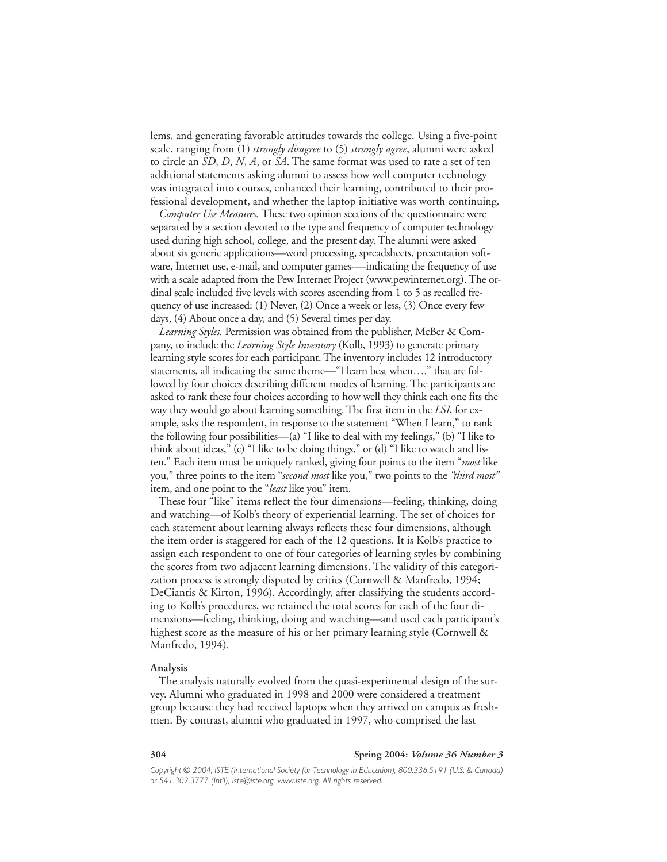lems, and generating favorable attitudes towards the college. Using a five-point scale, ranging from (1) *strongly disagree* to (5) *strongly agree*, alumni were asked to circle an *SD*, *D*, *N*, *A*, or *SA*. The same format was used to rate a set of ten additional statements asking alumni to assess how well computer technology was integrated into courses, enhanced their learning, contributed to their professional development, and whether the laptop initiative was worth continuing.

*Computer Use Measures.* These two opinion sections of the questionnaire were separated by a section devoted to the type and frequency of computer technology used during high school, college, and the present day. The alumni were asked about six generic applications—word processing, spreadsheets, presentation software, Internet use, e-mail, and computer games—indicating the frequency of use with a scale adapted from the Pew Internet Project (www.pewinternet.org). The ordinal scale included five levels with scores ascending from 1 to 5 as recalled frequency of use increased: (1) Never, (2) Once a week or less, (3) Once every few days, (4) About once a day, and (5) Several times per day.

*Learning Styles.* Permission was obtained from the publisher, McBer & Company, to include the *Learning Style Inventory* (Kolb, 1993) to generate primary learning style scores for each participant. The inventory includes 12 introductory statements, all indicating the same theme—"I learn best when…." that are followed by four choices describing different modes of learning. The participants are asked to rank these four choices according to how well they think each one fits the way they would go about learning something. The first item in the *LSI*, for example, asks the respondent, in response to the statement "When I learn," to rank the following four possibilities—(a) "I like to deal with my feelings," (b) "I like to think about ideas," (c) "I like to be doing things," or (d) "I like to watch and listen." Each item must be uniquely ranked, giving four points to the item "*most* like you," three points to the item "*second most* like you," two points to the *"third most"* item, and one point to the "*least* like you" item.

These four "like" items reflect the four dimensions—feeling, thinking, doing and watching—of Kolb's theory of experiential learning. The set of choices for each statement about learning always reflects these four dimensions, although the item order is staggered for each of the 12 questions. It is Kolb's practice to assign each respondent to one of four categories of learning styles by combining the scores from two adjacent learning dimensions. The validity of this categorization process is strongly disputed by critics (Cornwell & Manfredo, 1994; DeCiantis & Kirton, 1996). Accordingly, after classifying the students according to Kolb's procedures, we retained the total scores for each of the four dimensions—feeling, thinking, doing and watching—and used each participant's highest score as the measure of his or her primary learning style (Cornwell & Manfredo, 1994).

#### **Analysis**

The analysis naturally evolved from the quasi-experimental design of the survey. Alumni who graduated in 1998 and 2000 were considered a treatment group because they had received laptops when they arrived on campus as freshmen. By contrast, alumni who graduated in 1997, who comprised the last

*Copyright © 2004, ISTE (International Society for Technology in Education), 800.336.5191 (U.S. & Canada) or 541.302.3777 (Int'l), iste@iste.org, www.iste.org. All rights reserved.*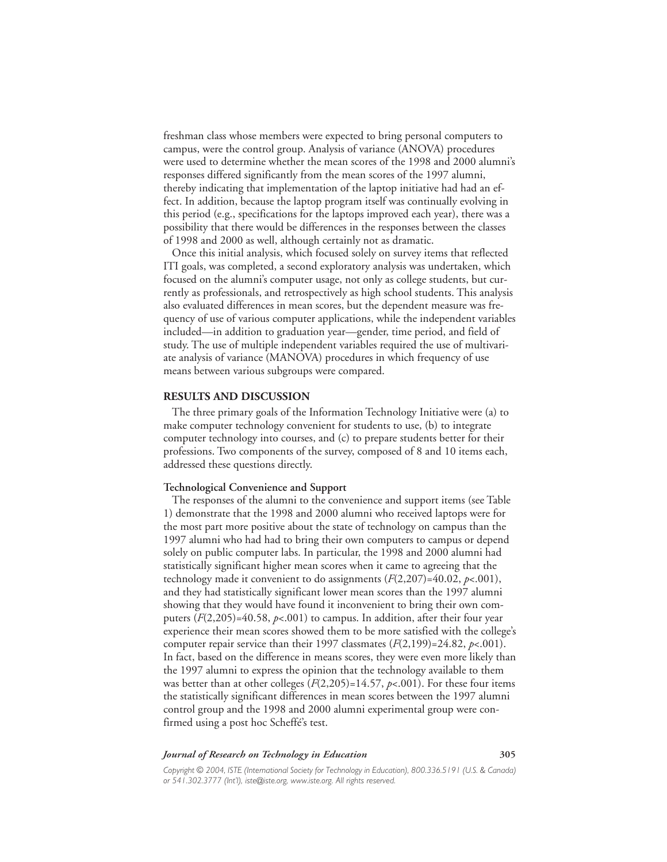freshman class whose members were expected to bring personal computers to campus, were the control group. Analysis of variance (ANOVA) procedures were used to determine whether the mean scores of the 1998 and 2000 alumni's responses differed significantly from the mean scores of the 1997 alumni, thereby indicating that implementation of the laptop initiative had had an effect. In addition, because the laptop program itself was continually evolving in this period (e.g., specifications for the laptops improved each year), there was a possibility that there would be differences in the responses between the classes of 1998 and 2000 as well, although certainly not as dramatic.

Once this initial analysis, which focused solely on survey items that reflected ITI goals, was completed, a second exploratory analysis was undertaken, which focused on the alumni's computer usage, not only as college students, but currently as professionals, and retrospectively as high school students. This analysis also evaluated differences in mean scores, but the dependent measure was frequency of use of various computer applications, while the independent variables included—in addition to graduation year—gender, time period, and field of study. The use of multiple independent variables required the use of multivariate analysis of variance (MANOVA) procedures in which frequency of use means between various subgroups were compared.

### **RESULTS AND DISCUSSION**

The three primary goals of the Information Technology Initiative were (a) to make computer technology convenient for students to use, (b) to integrate computer technology into courses, and (c) to prepare students better for their professions. Two components of the survey, composed of 8 and 10 items each, addressed these questions directly.

### **Technological Convenience and Support**

The responses of the alumni to the convenience and support items (see Table 1) demonstrate that the 1998 and 2000 alumni who received laptops were for the most part more positive about the state of technology on campus than the 1997 alumni who had had to bring their own computers to campus or depend solely on public computer labs. In particular, the 1998 and 2000 alumni had statistically significant higher mean scores when it came to agreeing that the technology made it convenient to do assignments (*F*(2,207)=40.02, *p*<.001), and they had statistically significant lower mean scores than the 1997 alumni showing that they would have found it inconvenient to bring their own computers  $(F(2,205)=40.58, p<0.01)$  to campus. In addition, after their four year experience their mean scores showed them to be more satisfied with the college's computer repair service than their 1997 classmates (*F*(2,199)=24.82, *p*<.001). In fact, based on the difference in means scores, they were even more likely than the 1997 alumni to express the opinion that the technology available to them was better than at other colleges  $(F(2,205)=14.57, p<0.01)$ . For these four items the statistically significant differences in mean scores between the 1997 alumni control group and the 1998 and 2000 alumni experimental group were confirmed using a post hoc Scheffé's test.

### *Journal of Research on Technology in Education* **305**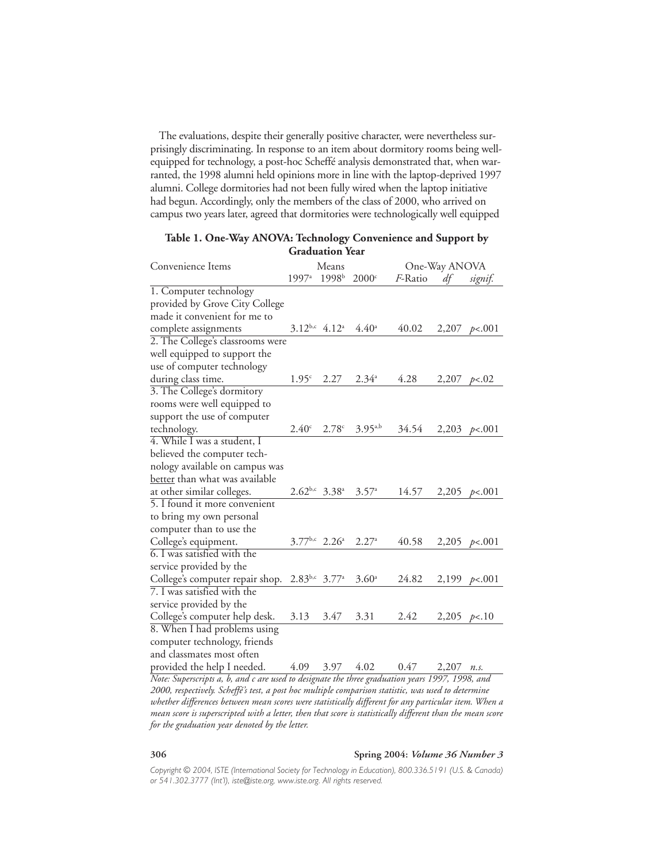The evaluations, despite their generally positive character, were nevertheless surprisingly discriminating. In response to an item about dormitory rooms being wellequipped for technology, a post-hoc Scheffé analysis demonstrated that, when warranted, the 1998 alumni held opinions more in line with the laptop-deprived 1997 alumni. College dormitories had not been fully wired when the laptop initiative had begun. Accordingly, only the members of the class of 2000, who arrived on campus two years later, agreed that dormitories were technologically well equipped

| Table 1. One-Way ANOVA: Technology Convenience and Support by |                        |  |  |
|---------------------------------------------------------------|------------------------|--|--|
|                                                               | <b>Graduation Year</b> |  |  |

| Convenience Items                                                                                    |                                | Means                          |                |         | One-Way ANOVA  |                |
|------------------------------------------------------------------------------------------------------|--------------------------------|--------------------------------|----------------|---------|----------------|----------------|
|                                                                                                      | 1997 <sup>a</sup>              | 1998 <sup>b</sup>              | 2000c          | F-Ratio | dt             | signif.        |
| 1. Computer technology                                                                               |                                |                                |                |         |                |                |
| provided by Grove City College                                                                       |                                |                                |                |         |                |                |
| made it convenient for me to                                                                         |                                |                                |                |         |                |                |
| complete assignments                                                                                 |                                | $3.12^{b,c}$ 4.12 <sup>a</sup> | $4.40^{\circ}$ | 40.02   |                | 2,207 $p<.001$ |
| 2. The College's classrooms were                                                                     |                                |                                |                |         |                |                |
| well equipped to support the                                                                         |                                |                                |                |         |                |                |
| use of computer technology                                                                           |                                |                                |                |         |                |                |
| during class time.                                                                                   | 1.95c                          | 2.27                           | $2.34^{\circ}$ | 4.28    | 2,207 $p<0.02$ |                |
| 3. The College's dormitory                                                                           |                                |                                |                |         |                |                |
| rooms were well equipped to                                                                          |                                |                                |                |         |                |                |
| support the use of computer                                                                          |                                |                                |                |         |                |                |
| technology.                                                                                          | 2.40 <sup>c</sup>              | 2.78 <sup>c</sup>              | $3.95^{a,b}$   | 34.54   |                | 2,203 $p<.001$ |
| 4. While I was a student, I                                                                          |                                |                                |                |         |                |                |
| believed the computer tech-                                                                          |                                |                                |                |         |                |                |
| nology available on campus was                                                                       |                                |                                |                |         |                |                |
| better than what was available                                                                       |                                |                                |                |         |                |                |
| at other similar colleges.                                                                           | $2.62^{b,c}$ 3.38 <sup>a</sup> |                                | 3.57a          | 14.57   |                | 2,205 $p<.001$ |
| 5. I found it more convenient                                                                        |                                |                                |                |         |                |                |
| to bring my own personal                                                                             |                                |                                |                |         |                |                |
| computer than to use the                                                                             |                                |                                |                |         |                |                |
| College's equipment.                                                                                 | $3.77^{b,c}$ 2.26 <sup>a</sup> |                                | 2.27a          | 40.58   |                | 2,205 $p<.001$ |
| 6. I was satisfied with the                                                                          |                                |                                |                |         |                |                |
| service provided by the                                                                              |                                |                                |                |         |                |                |
| College's computer repair shop.                                                                      | $2.83^{b,c}$ 3.77 <sup>a</sup> |                                | $3.60^{\circ}$ | 24.82   |                | 2,199 $p<.001$ |
| 7. I was satisfied with the                                                                          |                                |                                |                |         |                |                |
| service provided by the                                                                              |                                |                                |                |         |                |                |
| College's computer help desk.                                                                        | 3.13                           | 3.47                           | 3.31           | 2.42    | 2,205 $p<10$   |                |
| 8. When I had problems using                                                                         |                                |                                |                |         |                |                |
| computer technology, friends                                                                         |                                |                                |                |         |                |                |
| and classmates most often                                                                            |                                |                                |                |         |                |                |
| provided the help I needed.                                                                          | 4.09                           | 3.97 4.02                      |                | 0.47    | 2,207          | n.s.           |
| Note: Superscripts a, b, and c are used to designate the three graduation years 1997, 1998, and      |                                |                                |                |         |                |                |
| 2000, respectively. Scheffé's test, a post hoc multiple comparison statistic, was used to determine  |                                |                                |                |         |                |                |
| whether differences between mean scores were statistically different for any particular item. When a |                                |                                |                |         |                |                |

*mean score is superscripted with a letter, then that score is statistically different than the mean score for the graduation year denoted by the letter.*

# **306 Spring 2004:** *Volume 36 Number 3*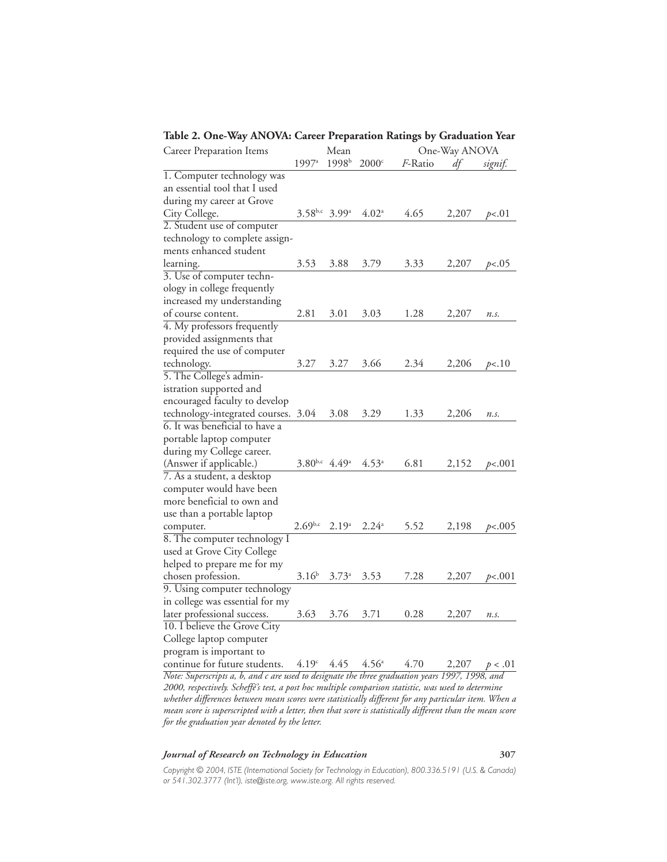| Career Preparation Items                                                                        |                                | Mean              | ,,,,,,,           |         | One-Way ANOVA |         |
|-------------------------------------------------------------------------------------------------|--------------------------------|-------------------|-------------------|---------|---------------|---------|
|                                                                                                 | 1997 <sup>a</sup>              | 1998 <sup>b</sup> | 2000c             | F-Ratio | df            | signif. |
| 1. Computer technology was                                                                      |                                |                   |                   |         |               |         |
| an essential tool that I used                                                                   |                                |                   |                   |         |               |         |
| during my career at Grove                                                                       |                                |                   |                   |         |               |         |
| City College.                                                                                   | $3.58^{b,c}$ 3.99 <sup>a</sup> |                   | 4.02 <sup>a</sup> | 4.65    | 2,207         | p<.01   |
| 2. Student use of computer                                                                      |                                |                   |                   |         |               |         |
| technology to complete assign-                                                                  |                                |                   |                   |         |               |         |
| ments enhanced student                                                                          |                                |                   |                   |         |               |         |
| learning.                                                                                       | 3.53                           | 3.88              | 3.79              | 3.33    | 2,207         | p<.05   |
| 3. Use of computer techn-                                                                       |                                |                   |                   |         |               |         |
| ology in college frequently                                                                     |                                |                   |                   |         |               |         |
| increased my understanding                                                                      |                                |                   |                   |         |               |         |
| of course content.                                                                              | 2.81                           | 3.01              | 3.03              | 1.28    | 2,207         | n.s.    |
| 4. My professors frequently                                                                     |                                |                   |                   |         |               |         |
| provided assignments that                                                                       |                                |                   |                   |         |               |         |
| required the use of computer                                                                    |                                |                   |                   |         |               |         |
| technology.                                                                                     | 3.27                           | 3.27              | 3.66              | 2.34    | 2,206         | p<.10   |
| 5. The College's admin-                                                                         |                                |                   |                   |         |               |         |
| istration supported and                                                                         |                                |                   |                   |         |               |         |
| encouraged faculty to develop                                                                   |                                |                   |                   |         |               |         |
| technology-integrated courses. 3.04                                                             |                                | 3.08              | 3.29              | 1.33    | 2,206         | n.s.    |
| 6. It was beneficial to have a                                                                  |                                |                   |                   |         |               |         |
| portable laptop computer                                                                        |                                |                   |                   |         |               |         |
| during my College career.                                                                       |                                |                   |                   |         |               |         |
| (Answer if applicable.)                                                                         | $3.80^{b,c}$ 4.49 <sup>a</sup> |                   | $4.53^{\circ}$    | 6.81    | 2,152         | p<.001  |
| 7. As a student, a desktop                                                                      |                                |                   |                   |         |               |         |
| computer would have been                                                                        |                                |                   |                   |         |               |         |
| more beneficial to own and                                                                      |                                |                   |                   |         |               |         |
| use than a portable laptop                                                                      |                                |                   |                   |         |               |         |
| computer.                                                                                       | $2.69^{b,c}$                   | 2.19 <sup>a</sup> | $2.24^{\circ}$    | 5.52    | 2,198         | p<.005  |
| 8. The computer technology I                                                                    |                                |                   |                   |         |               |         |
| used at Grove City College                                                                      |                                |                   |                   |         |               |         |
| helped to prepare me for my                                                                     |                                |                   |                   |         |               |         |
| chosen profession.                                                                              | 3.16 <sup>b</sup>              | $3.73^{\circ}$    | 3.53              | 7.28    | 2,207         | p<.001  |
| 9. Using computer technology                                                                    |                                |                   |                   |         |               |         |
| in college was essential for my                                                                 |                                |                   |                   |         |               |         |
| later professional success.                                                                     | 3.63                           | 3.76              | 3.71              | 0.28    | 2,207         | n.s.    |
| 10. I believe the Grove City                                                                    |                                |                   |                   |         |               |         |
| College laptop computer                                                                         |                                |                   |                   |         |               |         |
| program is important to                                                                         |                                |                   |                   |         |               |         |
| continue for future students.                                                                   | 4.19 <sup>c</sup>              | 4.45              | 4.56 <sup>a</sup> | 4.70    | 2,207         | p < .01 |
| Note: Superscripts a, b, and c are used to designate the three graduation years 1997, 1998, and |                                |                   |                   |         |               |         |

# **Table 2. One-Way ANOVA: Career Preparation Ratings by Graduation Year**

*2000, respectively. Scheffé's test, a post hoc multiple comparison statistic, was used to determine whether differences between mean scores were statistically different for any particular item. When a mean score is superscripted with a letter, then that score is statistically different than the mean score for the graduation year denoted by the letter.*

# *Journal of Research on Technology in Education* **307**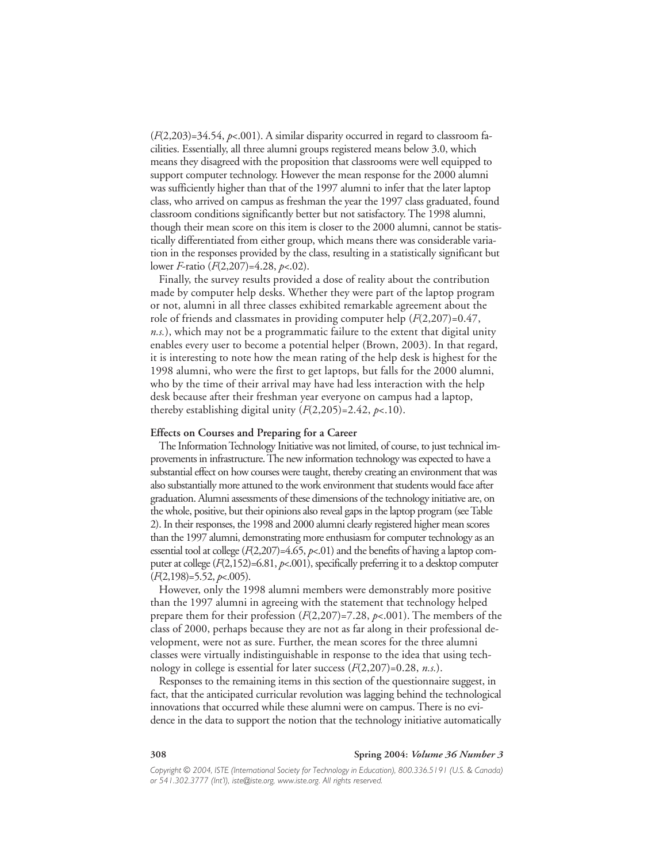(*F*(2,203)=34.54, *p*<.001). A similar disparity occurred in regard to classroom facilities. Essentially, all three alumni groups registered means below 3.0, which means they disagreed with the proposition that classrooms were well equipped to support computer technology. However the mean response for the 2000 alumni was sufficiently higher than that of the 1997 alumni to infer that the later laptop class, who arrived on campus as freshman the year the 1997 class graduated, found classroom conditions significantly better but not satisfactory. The 1998 alumni, though their mean score on this item is closer to the 2000 alumni, cannot be statistically differentiated from either group, which means there was considerable variation in the responses provided by the class, resulting in a statistically significant but lower *F*-ratio (*F*(2,207)=4.28, *p*<.02).

Finally, the survey results provided a dose of reality about the contribution made by computer help desks. Whether they were part of the laptop program or not, alumni in all three classes exhibited remarkable agreement about the role of friends and classmates in providing computer help (*F*(2,207)=0.47, *n.s.*), which may not be a programmatic failure to the extent that digital unity enables every user to become a potential helper (Brown, 2003). In that regard, it is interesting to note how the mean rating of the help desk is highest for the 1998 alumni, who were the first to get laptops, but falls for the 2000 alumni, who by the time of their arrival may have had less interaction with the help desk because after their freshman year everyone on campus had a laptop, thereby establishing digital unity (*F*(2,205)=2.42, *p*<.10).

### **Effects on Courses and Preparing for a Career**

The Information Technology Initiative was not limited, of course, to just technical improvements in infrastructure. The new information technology was expected to have a substantial effect on how courses were taught, thereby creating an environment that was also substantially more attuned to the work environment that students would face after graduation. Alumni assessments of these dimensions of the technology initiative are, on the whole, positive, but their opinions also reveal gaps in the laptop program (see Table 2). In their responses, the 1998 and 2000 alumni clearly registered higher mean scores than the 1997 alumni, demonstrating more enthusiasm for computer technology as an essential tool at college  $(F(2,207)=4.65, p<0.1)$  and the benefits of having a laptop computer at college (*F*(2,152)=6.81, *p*<.001), specifically preferring it to a desktop computer (*F*(2,198)=5.52, *p*<.005).

However, only the 1998 alumni members were demonstrably more positive than the 1997 alumni in agreeing with the statement that technology helped prepare them for their profession (*F*(2,207)=7.28, *p*<.001). The members of the class of 2000, perhaps because they are not as far along in their professional development, were not as sure. Further, the mean scores for the three alumni classes were virtually indistinguishable in response to the idea that using technology in college is essential for later success (*F*(2,207)=0.28, *n.s.*).

Responses to the remaining items in this section of the questionnaire suggest, in fact, that the anticipated curricular revolution was lagging behind the technological innovations that occurred while these alumni were on campus. There is no evidence in the data to support the notion that the technology initiative automatically

*Copyright © 2004, ISTE (International Society for Technology in Education), 800.336.5191 (U.S. & Canada) or 541.302.3777 (Int'l), iste@iste.org, www.iste.org. All rights reserved.*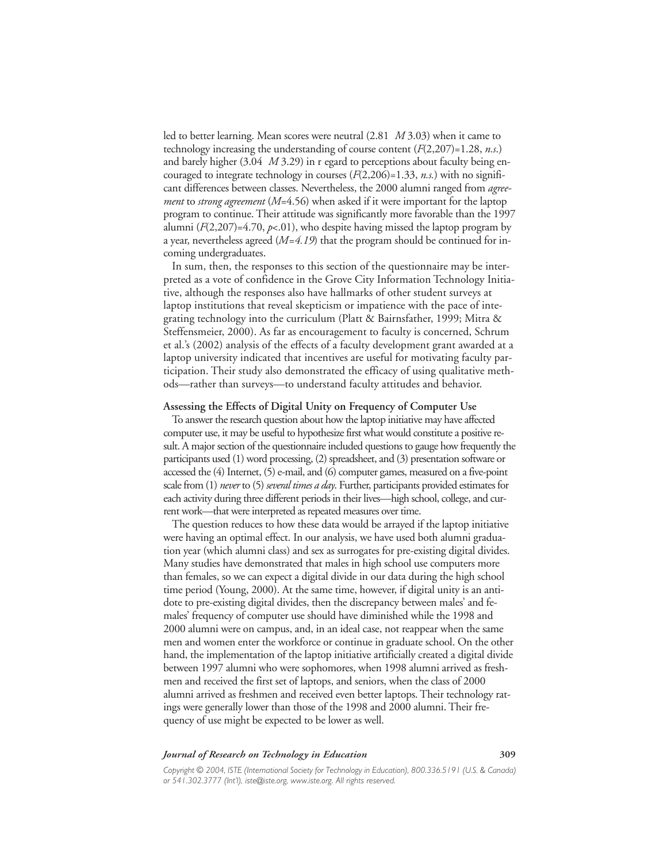led to better learning. Mean scores were neutral (2.81 *M* 3.03) when it came to technology increasing the understanding of course content (*F*(2,207)=1.28, *n.s*.) and barely higher (3.04 *M* 3.29) in r egard to perceptions about faculty being encouraged to integrate technology in courses (*F*(2,206)=1.33, *n.s.*) with no significant differences between classes. Nevertheless, the 2000 alumni ranged from *agreement* to *strong agreement* (*M*=4.56) when asked if it were important for the laptop program to continue. Their attitude was significantly more favorable than the 1997 alumni  $(F(2,207)=4.70, p<0.1)$ , who despite having missed the laptop program by a year, nevertheless agreed (*M=4.19*) that the program should be continued for incoming undergraduates.

In sum, then, the responses to this section of the questionnaire may be interpreted as a vote of confidence in the Grove City Information Technology Initiative, although the responses also have hallmarks of other student surveys at laptop institutions that reveal skepticism or impatience with the pace of integrating technology into the curriculum (Platt & Bairnsfather, 1999; Mitra & Steffensmeier, 2000). As far as encouragement to faculty is concerned, Schrum et al.'s (2002) analysis of the effects of a faculty development grant awarded at a laptop university indicated that incentives are useful for motivating faculty participation. Their study also demonstrated the efficacy of using qualitative methods—rather than surveys—to understand faculty attitudes and behavior.

# **Assessing the Effects of Digital Unity on Frequency of Computer Use**

To answer the research question about how the laptop initiative may have affected computer use, it may be useful to hypothesize first what would constitute a positive result. A major section of the questionnaire included questions to gauge how frequently the participants used (1) word processing, (2) spreadsheet, and (3) presentation software or accessed the (4) Internet, (5) e-mail, and (6) computer games, measured on a five-point scale from (1) *never* to (5) *several times a day*. Further, participants provided estimates for each activity during three different periods in their lives—high school, college, and current work—that were interpreted as repeated measures over time.

The question reduces to how these data would be arrayed if the laptop initiative were having an optimal effect. In our analysis, we have used both alumni graduation year (which alumni class) and sex as surrogates for pre-existing digital divides. Many studies have demonstrated that males in high school use computers more than females, so we can expect a digital divide in our data during the high school time period (Young, 2000). At the same time, however, if digital unity is an antidote to pre-existing digital divides, then the discrepancy between males' and females' frequency of computer use should have diminished while the 1998 and 2000 alumni were on campus, and, in an ideal case, not reappear when the same men and women enter the workforce or continue in graduate school. On the other hand, the implementation of the laptop initiative artificially created a digital divide between 1997 alumni who were sophomores, when 1998 alumni arrived as freshmen and received the first set of laptops, and seniors, when the class of 2000 alumni arrived as freshmen and received even better laptops. Their technology ratings were generally lower than those of the 1998 and 2000 alumni. Their frequency of use might be expected to be lower as well.

### *Journal of Research on Technology in Education* **309**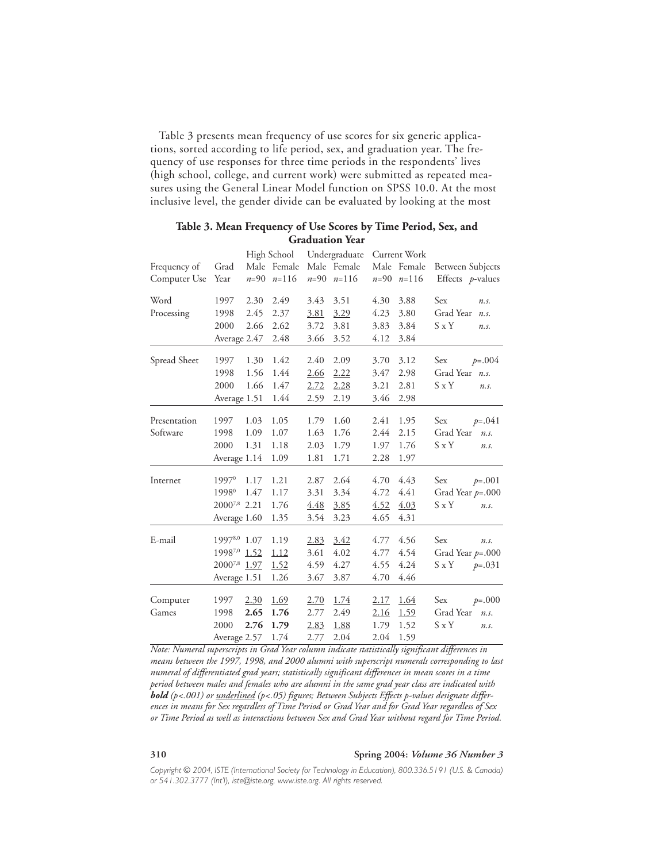Table 3 presents mean frequency of use scores for six generic applications, sorted according to life period, sex, and graduation year. The frequency of use responses for three time periods in the respondents' lives (high school, college, and current work) were submitted as repeated measures using the General Linear Model function on SPSS 10.0. At the most inclusive level, the gender divide can be evaluated by looking at the most

|              |                          |      | High School    |      | Undergraduate  |      | Current Work   |                       |
|--------------|--------------------------|------|----------------|------|----------------|------|----------------|-----------------------|
| Frequency of | Grad                     |      | Male Female    |      | Male Female    |      | Male Female    | Between Subjects      |
| Computer Use | Year                     |      | $n=90$ $n=116$ |      | $n=90$ $n=116$ |      | $n=90$ $n=116$ | Effects $p$ -values   |
|              |                          |      |                |      |                |      |                |                       |
| Word         | 1997                     | 2.30 | 2.49           | 3.43 | 3.51           | 4.30 | 3.88           | Sex<br>n.s.           |
| Processing   | 1998                     | 2.45 | 2.37           | 3.81 | 3.29           | 4.23 | 3.80           | Grad Year<br>n.s.     |
|              | 2000                     | 2.66 | 2.62           | 3.72 | 3.81           | 3.83 | 3.84           | S x Y<br>n.s.         |
|              | Average 2.47             |      | 2.48           | 3.66 | 3.52           | 4.12 | 3.84           |                       |
|              |                          |      |                |      |                |      |                |                       |
| Spread Sheet | 1997                     | 1.30 | 1.42           | 2.40 | 2.09           | 3.70 | 3.12           | Sex<br>$p=.004$       |
|              | 1998                     | 1.56 | 1.44           | 2.66 | 2.22           | 3.47 | 2.98           | Grad Year n.s.        |
|              | 2000                     | 1.66 | 1.47           | 2.72 | 2.28           | 3.21 | 2.81           | S x Y<br>n.s.         |
|              | Average 1.51             |      | 1.44           | 2.59 | 2.19           | 3.46 | 2.98           |                       |
| Presentation |                          |      | 1.05           |      | 1.60           | 2.41 |                | Sex                   |
| Software     | 1997                     | 1.03 |                | 1.79 |                |      | 1.95           | $p=.041$<br>Grad Year |
|              | 1998                     | 1.09 | 1.07           | 1.63 | 1.76           | 2.44 | 2.15           | n.s.                  |
|              | 2000                     | 1.31 | 1.18           | 2.03 | 1.79           | 1.97 | 1.76           | S x Y<br>n.s.         |
|              | Average 1.14             |      | 1.09           | 1.81 | 1.71           | 2.28 | 1.97           |                       |
| Internet     | 1997 <sup>0</sup>        | 1.17 | 1.21           | 2.87 | 2.64           | 4.70 | 4.43           | Sex<br>$p=.001$       |
|              | 19980                    | 1.47 | 1.17           | 3.31 | 3.34           | 4.72 | 4.41           | Grad Year $p=.000$    |
|              | 2000 <sup>7,8</sup> 2.21 |      | 1.76           | 4.48 | 3.85           | 4.52 | 4.03           | S x Y<br>n.s.         |
|              | Average 1.60             |      | 1.35           | 3.54 | 3.23           | 4.65 | 4.31           |                       |
|              |                          |      |                |      |                |      |                |                       |
| E-mail       | 19978,0 1.07             |      | 1.19           | 2.83 | 3.42           | 4.77 | 4.56           | Sex<br>n.s.           |
|              | 1998 <sup>7,0</sup> 1.52 |      | 1.12           | 3.61 | 4.02           | 4.77 | 4.54           | Grad Year $p=.000$    |
|              | 2000 <sup>7,8</sup> 1.97 |      | 1.52           | 4.59 | 4.27           | 4.55 | 4.24           | S x Y<br>$p=.031$     |
|              | Average 1.51             |      | 1.26           | 3.67 | 3.87           | 4.70 | 4.46           |                       |
|              |                          |      |                |      |                |      |                |                       |
| Computer     | 1997                     | 2.30 | 1.69           | 2.70 | 1.74           | 2.17 | <u>1.64</u>    | Sex<br>$p=.000$       |
| Games        | 1998                     | 2.65 | 1.76           | 2.77 | 2.49           | 2.16 | 1.59           | Grad Year<br>n.s.     |
|              | 2000                     | 2.76 | 1.79           | 2.83 | 1.88           | 1.79 | 1.52           | S x Y<br>n.s.         |
|              | Average 2.57             |      | 1.74           | 2.77 | 2.04           | 2.04 | 1.59           |                       |

**Table 3. Mean Frequency of Use Scores by Time Period, Sex, and Graduation Year**

*Note: Numeral superscripts in Grad Year column indicate statistically significant differences in means between the 1997, 1998, and 2000 alumni with superscript numerals corresponding to last numeral of differentiated grad years; statistically significant differences in mean scores in a time period between males and females who are alumni in the same grad year class are indicated with bold (p<.001) or underlined (p<.05) figures; Between Subjects Effects p-values designate differences in means for Sex regardless of Time Period or Grad Year and for Grad Year regardless of Sex or Time Period as well as interactions between Sex and Grad Year without regard for Time Period.*

# **310 Spring 2004:** *Volume 36 Number 3*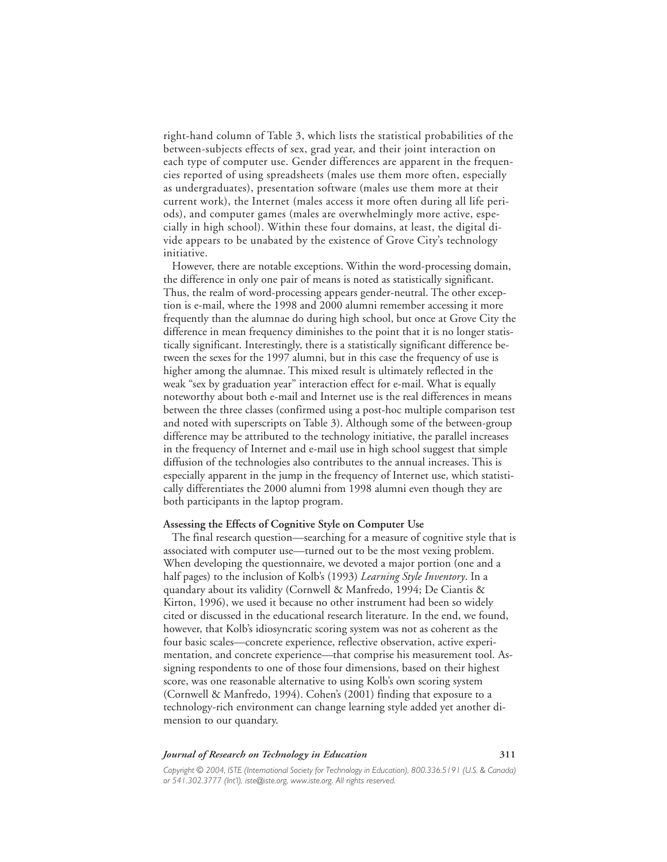right-hand column of Table 3, which lists the statistical probabilities of the between-subjects effects of sex, grad year, and their joint interaction on each type of computer use. Gender differences are apparent in the frequencies reported of using spreadsheets (males use them more often, especially as undergraduates), presentation software (males use them more at their current work), the Internet (males access it more often during all life periods), and computer games (males are overwhelmingly more active, especially in high school). Within these four domains, at least, the digital divide appears to be unabated by the existence of Grove City's technology initiative.

However, there are notable exceptions. Within the word-processing domain, the difference in only one pair of means is noted as statistically significant. Thus, the realm of word-processing appears gender-neutral. The other exception is e-mail, where the 1998 and 2000 alumni remember accessing it more frequently than the alumnae do during high school, but once at Grove City the difference in mean frequency diminishes to the point that it is no longer statistically significant. Interestingly, there is a statistically significant difference between the sexes for the 1997 alumni, but in this case the frequency of use is higher among the alumnae. This mixed result is ultimately reflected in the weak "sex by graduation year" interaction effect for e-mail. What is equally noteworthy about both e-mail and Internet use is the real differences in means between the three classes (confirmed using a post-hoc multiple comparison test and noted with superscripts on Table 3). Although some of the between-group difference may be attributed to the technology initiative, the parallel increases in the frequency of Internet and e-mail use in high school suggest that simple diffusion of the technologies also contributes to the annual increases. This is especially apparent in the jump in the frequency of Internet use, which statistically differentiates the 2000 alumni from 1998 alumni even though they are both participants in the laptop program.

### **Assessing the Effects of Cognitive Style on Computer Use**

The final research question—searching for a measure of cognitive style that is associated with computer use—turned out to be the most vexing problem. When developing the questionnaire, we devoted a major portion (one and a half pages) to the inclusion of Kolb's (1993) *Learning Style Inventory*. In a quandary about its validity (Cornwell & Manfredo, 1994; De Ciantis & Kirton, 1996), we used it because no other instrument had been so widely cited or discussed in the educational research literature. In the end, we found, however, that Kolb's idiosyncratic scoring system was not as coherent as the four basic scales—concrete experience, reflective observation, active experimentation, and concrete experience—that comprise his measurement tool. Assigning respondents to one of those four dimensions, based on their highest score, was one reasonable alternative to using Kolb's own scoring system (Cornwell & Manfredo, 1994). Cohen's (2001) finding that exposure to a technology-rich environment can change learning style added yet another dimension to our quandary.

### *Journal of Research on Technology in Education* **311**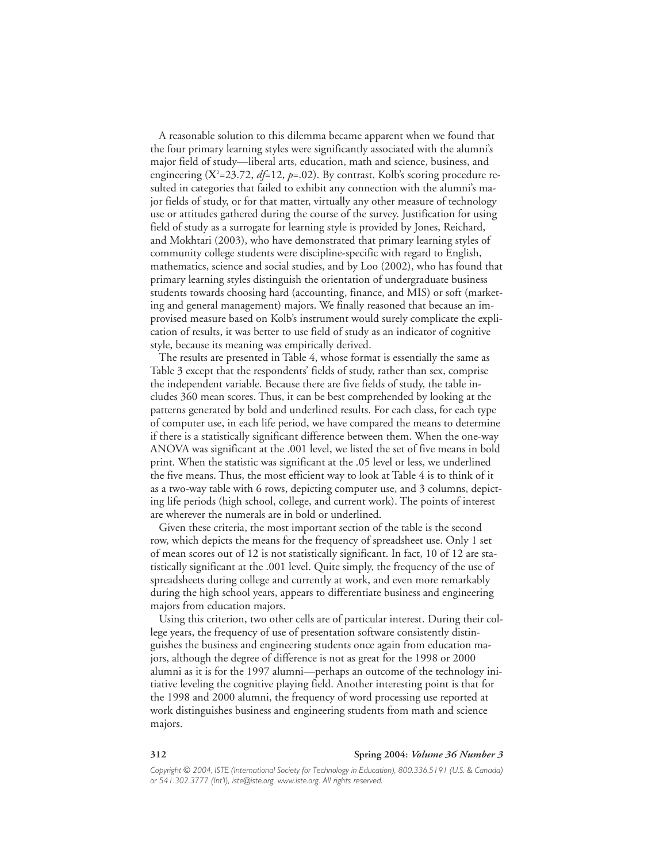A reasonable solution to this dilemma became apparent when we found that the four primary learning styles were significantly associated with the alumni's major field of study—liberal arts, education, math and science, business, and engineering (X<sup>2</sup>=23.72, df=12, p=.02). By contrast, Kolb's scoring procedure resulted in categories that failed to exhibit any connection with the alumni's major fields of study, or for that matter, virtually any other measure of technology use or attitudes gathered during the course of the survey. Justification for using field of study as a surrogate for learning style is provided by Jones, Reichard, and Mokhtari (2003), who have demonstrated that primary learning styles of community college students were discipline-specific with regard to English, mathematics, science and social studies, and by Loo (2002), who has found that primary learning styles distinguish the orientation of undergraduate business students towards choosing hard (accounting, finance, and MIS) or soft (marketing and general management) majors. We finally reasoned that because an improvised measure based on Kolb's instrument would surely complicate the explication of results, it was better to use field of study as an indicator of cognitive style, because its meaning was empirically derived.

The results are presented in Table 4, whose format is essentially the same as Table 3 except that the respondents' fields of study, rather than sex, comprise the independent variable. Because there are five fields of study, the table includes 360 mean scores. Thus, it can be best comprehended by looking at the patterns generated by bold and underlined results. For each class, for each type of computer use, in each life period, we have compared the means to determine if there is a statistically significant difference between them. When the one-way ANOVA was significant at the .001 level, we listed the set of five means in bold print. When the statistic was significant at the .05 level or less, we underlined the five means. Thus, the most efficient way to look at Table 4 is to think of it as a two-way table with 6 rows, depicting computer use, and 3 columns, depicting life periods (high school, college, and current work). The points of interest are wherever the numerals are in bold or underlined.

Given these criteria, the most important section of the table is the second row, which depicts the means for the frequency of spreadsheet use. Only 1 set of mean scores out of 12 is not statistically significant. In fact, 10 of 12 are statistically significant at the .001 level. Quite simply, the frequency of the use of spreadsheets during college and currently at work, and even more remarkably during the high school years, appears to differentiate business and engineering majors from education majors.

Using this criterion, two other cells are of particular interest. During their college years, the frequency of use of presentation software consistently distinguishes the business and engineering students once again from education majors, although the degree of difference is not as great for the 1998 or 2000 alumni as it is for the 1997 alumni—perhaps an outcome of the technology initiative leveling the cognitive playing field. Another interesting point is that for the 1998 and 2000 alumni, the frequency of word processing use reported at work distinguishes business and engineering students from math and science majors.

*Copyright © 2004, ISTE (International Society for Technology in Education), 800.336.5191 (U.S. & Canada) or 541.302.3777 (Int'l), iste@iste.org, www.iste.org. All rights reserved.*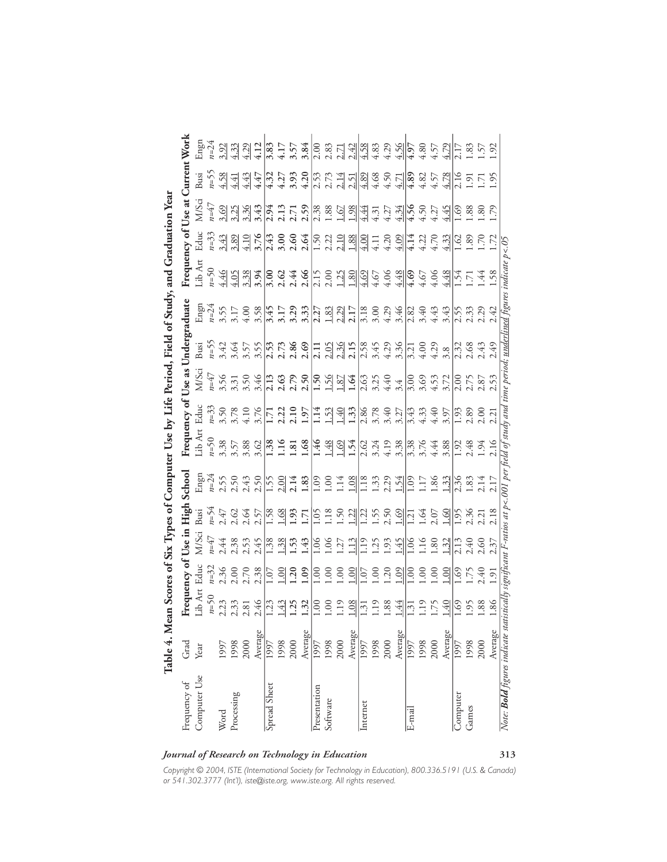| Frequency of | Grad<br>G |                                                                                                                                                                                                                                                                                                             |                                                                                                                                                                                                                                                                                                                                                                                                                                                                           | School |                                                                                                                                                                                                                                                                                 | Use as                                                                                                                                                                                                                                                                                                                                      |                                                                                                                                                                                                                                                                                                           | Jndergraduate                                                                                                                                                                                                                                                                                                       |                                                                                                                                                                                                                                                                                                                                                                                                               | Jse at | Jurrent | Work |
|--------------|-----------|-------------------------------------------------------------------------------------------------------------------------------------------------------------------------------------------------------------------------------------------------------------------------------------------------------------|---------------------------------------------------------------------------------------------------------------------------------------------------------------------------------------------------------------------------------------------------------------------------------------------------------------------------------------------------------------------------------------------------------------------------------------------------------------------------|--------|---------------------------------------------------------------------------------------------------------------------------------------------------------------------------------------------------------------------------------------------------------------------------------|---------------------------------------------------------------------------------------------------------------------------------------------------------------------------------------------------------------------------------------------------------------------------------------------------------------------------------------------|-----------------------------------------------------------------------------------------------------------------------------------------------------------------------------------------------------------------------------------------------------------------------------------------------------------|---------------------------------------------------------------------------------------------------------------------------------------------------------------------------------------------------------------------------------------------------------------------------------------------------------------------|---------------------------------------------------------------------------------------------------------------------------------------------------------------------------------------------------------------------------------------------------------------------------------------------------------------------------------------------------------------------------------------------------------------|--------|---------|------|
| Computer Use | Year      | <b>Frequency of</b><br>Lib Art Educ                                                                                                                                                                                                                                                                         | M/Sci                                                                                                                                                                                                                                                                                                                                                                                                                                                                     |        | <b>Frequency of U</b><br>Lib Art Educ<br>Lib Art Educ<br>150 $n=33$<br>$3.57$ $3.78$<br>$3.10$<br>$3.88$ $3.10$<br>$3.10$<br>$1.16$<br>$1.10$<br>$1.10$<br>$1.10$<br>$1.10$<br>$1.10$<br>$1.11$<br>$1.10$<br>$1.11$<br>$1.10$<br>$1.11$<br>$1.12$<br>$1.13$<br>$1.14$<br>$1.15$ | $\sum_{i=1}^{n} \sum_{i=1}^{n} \sum_{i=1}^{n} \sum_{j=1}^{n} \sum_{j=1}^{n} \sum_{j=1}^{n} \sum_{j=1}^{n} \sum_{j=1}^{n} \sum_{j=1}^{n} \sum_{j=1}^{n} \sum_{j=1}^{n} \sum_{j=1}^{n} \sum_{j=1}^{n} \sum_{j=1}^{n} \sum_{j=1}^{n} \sum_{j=1}^{n} \sum_{j=1}^{n} \sum_{j=1}^{n} \sum_{j=1}^{n} \sum_{j=1}^{n} \sum_{j=1}^{n} \sum_{j=1}^{n}$ |                                                                                                                                                                                                                                                                                                           |                                                                                                                                                                                                                                                                                                                     | <b>Frequency of</b> $\begin{array}{r} \n\textbf{Figure 9}\n\textbf{6} \n\end{array}$<br><b>Example 2.43</b><br>$\begin{array}{r} \n\textbf{1} \textbf{1} \textbf{1} \textbf{1} \textbf{1} \textbf{1} \textbf{1} \textbf{1} \textbf{1} \textbf{1} \textbf{1} \textbf{1} \textbf{1} \textbf{1} \textbf{1} \textbf{1} \textbf{1} \textbf{1} \textbf{1} \textbf{1} \textbf{1} \textbf{1} \textbf{1} \textbf{1} \$ |        | Busi    |      |
|              |           |                                                                                                                                                                                                                                                                                                             |                                                                                                                                                                                                                                                                                                                                                                                                                                                                           |        |                                                                                                                                                                                                                                                                                 |                                                                                                                                                                                                                                                                                                                                             |                                                                                                                                                                                                                                                                                                           |                                                                                                                                                                                                                                                                                                                     |                                                                                                                                                                                                                                                                                                                                                                                                               |        |         |      |
| Word         | 1997      |                                                                                                                                                                                                                                                                                                             |                                                                                                                                                                                                                                                                                                                                                                                                                                                                           |        |                                                                                                                                                                                                                                                                                 |                                                                                                                                                                                                                                                                                                                                             |                                                                                                                                                                                                                                                                                                           |                                                                                                                                                                                                                                                                                                                     |                                                                                                                                                                                                                                                                                                                                                                                                               |        |         |      |
| Processing   | 1998      |                                                                                                                                                                                                                                                                                                             |                                                                                                                                                                                                                                                                                                                                                                                                                                                                           |        |                                                                                                                                                                                                                                                                                 |                                                                                                                                                                                                                                                                                                                                             |                                                                                                                                                                                                                                                                                                           |                                                                                                                                                                                                                                                                                                                     |                                                                                                                                                                                                                                                                                                                                                                                                               |        |         |      |
|              | 2000      |                                                                                                                                                                                                                                                                                                             |                                                                                                                                                                                                                                                                                                                                                                                                                                                                           |        |                                                                                                                                                                                                                                                                                 |                                                                                                                                                                                                                                                                                                                                             |                                                                                                                                                                                                                                                                                                           |                                                                                                                                                                                                                                                                                                                     |                                                                                                                                                                                                                                                                                                                                                                                                               |        |         |      |
|              | Average   |                                                                                                                                                                                                                                                                                                             |                                                                                                                                                                                                                                                                                                                                                                                                                                                                           |        |                                                                                                                                                                                                                                                                                 |                                                                                                                                                                                                                                                                                                                                             |                                                                                                                                                                                                                                                                                                           |                                                                                                                                                                                                                                                                                                                     |                                                                                                                                                                                                                                                                                                                                                                                                               |        |         |      |
| Spread Sheet | 1997      | $\begin{array}{l} \begin{array}{l} 12.98 \\ 13.99 \\ 14.99 \\ 15.99 \\ 16.99 \\ 17.99 \\ 18.99 \\ 19.00 \\ 10.00 \\ 11.00 \\ 12.00 \\ 13.00 \\ 14.00 \\ 15.00 \\ 16.00 \\ 17.00 \\ 19.00 \\ 19.00 \\ 19.00 \\ 19.00 \\ 19.00 \\ 19.00 \\ 19.00 \\ 19.00 \\ 19.00 \\ 19.00 \\ 19.00 \\ 19.00 \\ 19.00 \\ 19$ |                                                                                                                                                                                                                                                                                                                                                                                                                                                                           |        |                                                                                                                                                                                                                                                                                 |                                                                                                                                                                                                                                                                                                                                             |                                                                                                                                                                                                                                                                                                           |                                                                                                                                                                                                                                                                                                                     |                                                                                                                                                                                                                                                                                                                                                                                                               |        |         |      |
|              | 1998      |                                                                                                                                                                                                                                                                                                             |                                                                                                                                                                                                                                                                                                                                                                                                                                                                           |        |                                                                                                                                                                                                                                                                                 |                                                                                                                                                                                                                                                                                                                                             |                                                                                                                                                                                                                                                                                                           |                                                                                                                                                                                                                                                                                                                     |                                                                                                                                                                                                                                                                                                                                                                                                               |        |         |      |
|              | 2000      |                                                                                                                                                                                                                                                                                                             |                                                                                                                                                                                                                                                                                                                                                                                                                                                                           |        |                                                                                                                                                                                                                                                                                 |                                                                                                                                                                                                                                                                                                                                             |                                                                                                                                                                                                                                                                                                           |                                                                                                                                                                                                                                                                                                                     |                                                                                                                                                                                                                                                                                                                                                                                                               |        |         |      |
|              | Average   |                                                                                                                                                                                                                                                                                                             |                                                                                                                                                                                                                                                                                                                                                                                                                                                                           |        |                                                                                                                                                                                                                                                                                 |                                                                                                                                                                                                                                                                                                                                             |                                                                                                                                                                                                                                                                                                           |                                                                                                                                                                                                                                                                                                                     |                                                                                                                                                                                                                                                                                                                                                                                                               |        |         |      |
| Presentation | 1997      |                                                                                                                                                                                                                                                                                                             |                                                                                                                                                                                                                                                                                                                                                                                                                                                                           |        |                                                                                                                                                                                                                                                                                 |                                                                                                                                                                                                                                                                                                                                             |                                                                                                                                                                                                                                                                                                           |                                                                                                                                                                                                                                                                                                                     |                                                                                                                                                                                                                                                                                                                                                                                                               |        |         |      |
| Software     | 1998      |                                                                                                                                                                                                                                                                                                             |                                                                                                                                                                                                                                                                                                                                                                                                                                                                           |        |                                                                                                                                                                                                                                                                                 |                                                                                                                                                                                                                                                                                                                                             |                                                                                                                                                                                                                                                                                                           |                                                                                                                                                                                                                                                                                                                     |                                                                                                                                                                                                                                                                                                                                                                                                               |        |         |      |
|              | 2000      |                                                                                                                                                                                                                                                                                                             |                                                                                                                                                                                                                                                                                                                                                                                                                                                                           |        |                                                                                                                                                                                                                                                                                 |                                                                                                                                                                                                                                                                                                                                             |                                                                                                                                                                                                                                                                                                           |                                                                                                                                                                                                                                                                                                                     |                                                                                                                                                                                                                                                                                                                                                                                                               |        |         |      |
|              | Average   |                                                                                                                                                                                                                                                                                                             |                                                                                                                                                                                                                                                                                                                                                                                                                                                                           |        |                                                                                                                                                                                                                                                                                 |                                                                                                                                                                                                                                                                                                                                             |                                                                                                                                                                                                                                                                                                           |                                                                                                                                                                                                                                                                                                                     |                                                                                                                                                                                                                                                                                                                                                                                                               |        |         |      |
| Internet     | 1997      |                                                                                                                                                                                                                                                                                                             |                                                                                                                                                                                                                                                                                                                                                                                                                                                                           |        |                                                                                                                                                                                                                                                                                 |                                                                                                                                                                                                                                                                                                                                             |                                                                                                                                                                                                                                                                                                           |                                                                                                                                                                                                                                                                                                                     |                                                                                                                                                                                                                                                                                                                                                                                                               |        |         |      |
|              | 1998      |                                                                                                                                                                                                                                                                                                             |                                                                                                                                                                                                                                                                                                                                                                                                                                                                           |        |                                                                                                                                                                                                                                                                                 |                                                                                                                                                                                                                                                                                                                                             |                                                                                                                                                                                                                                                                                                           |                                                                                                                                                                                                                                                                                                                     |                                                                                                                                                                                                                                                                                                                                                                                                               |        |         |      |
|              | 2000      |                                                                                                                                                                                                                                                                                                             |                                                                                                                                                                                                                                                                                                                                                                                                                                                                           |        |                                                                                                                                                                                                                                                                                 |                                                                                                                                                                                                                                                                                                                                             |                                                                                                                                                                                                                                                                                                           |                                                                                                                                                                                                                                                                                                                     |                                                                                                                                                                                                                                                                                                                                                                                                               |        |         |      |
|              | Average   |                                                                                                                                                                                                                                                                                                             | $\begin{array}{l} \frac{1}{4} \times 1 & \times 1 \\ \frac{1}{4} \times 2 & \times 1 \\ \frac{1}{4} \times 3 & \times 1 \\ \frac{1}{4} \times 4 & \times 1 \\ \frac{1}{4} \times 5 & \times 1 \\ \frac{1}{4} \times 6 & \times 1 \\ \frac{1}{4} \times 1 & \times 1 \\ \frac{1}{4} \times 1 & \times 1 \\ \frac{1}{4} \times 1 & \times 1 \\ \frac{1}{4} \times 1 & \times 1 \\ \frac{1}{4} \times 1 & \times 1 \\ \frac{1}{4} \times 1 & \times 1 \\ \frac{1}{4} \times$ |        |                                                                                                                                                                                                                                                                                 |                                                                                                                                                                                                                                                                                                                                             | $\frac{12}{12}$ $\frac{16}{12}$ $\frac{16}{12}$ $\frac{16}{12}$ $\frac{16}{12}$ $\frac{16}{12}$ $\frac{16}{12}$ $\frac{16}{12}$ $\frac{16}{12}$ $\frac{16}{12}$ $\frac{16}{12}$ $\frac{16}{12}$ $\frac{16}{12}$ $\frac{16}{12}$ $\frac{16}{12}$ $\frac{16}{12}$ $\frac{16}{12}$ $\frac{16}{12}$ $\frac{1$ | $\Xi_{n}^{n} = \Xi_{n}^{n}$ $\Xi_{n}^{n} = \Xi_{n}^{n}$ $\Xi_{n}^{n} = \Xi_{n}^{n}$ $\Xi_{n}^{n} = \Xi_{n}^{n}$ $\Xi_{n}^{n} = \Xi_{n}^{n}$ $\Xi_{n}^{n} = \Xi_{n}^{n}$ $\Xi_{n}^{n} = \Xi_{n}^{n}$ $\Xi_{n}^{n} = \Xi_{n}^{n}$ $\Xi_{n}^{n} = \Xi_{n}^{n}$ $\Xi_{n}^{n} = \Xi_{n}^{n}$ $\Xi_{n}^{n} = \Xi_{n}^{n}$ |                                                                                                                                                                                                                                                                                                                                                                                                               |        |         |      |
| E-mail       | 1997      |                                                                                                                                                                                                                                                                                                             |                                                                                                                                                                                                                                                                                                                                                                                                                                                                           |        |                                                                                                                                                                                                                                                                                 |                                                                                                                                                                                                                                                                                                                                             |                                                                                                                                                                                                                                                                                                           |                                                                                                                                                                                                                                                                                                                     |                                                                                                                                                                                                                                                                                                                                                                                                               |        |         |      |
|              | 1998      |                                                                                                                                                                                                                                                                                                             |                                                                                                                                                                                                                                                                                                                                                                                                                                                                           |        |                                                                                                                                                                                                                                                                                 |                                                                                                                                                                                                                                                                                                                                             |                                                                                                                                                                                                                                                                                                           |                                                                                                                                                                                                                                                                                                                     |                                                                                                                                                                                                                                                                                                                                                                                                               |        |         |      |
|              | 2000      |                                                                                                                                                                                                                                                                                                             |                                                                                                                                                                                                                                                                                                                                                                                                                                                                           |        |                                                                                                                                                                                                                                                                                 |                                                                                                                                                                                                                                                                                                                                             |                                                                                                                                                                                                                                                                                                           |                                                                                                                                                                                                                                                                                                                     |                                                                                                                                                                                                                                                                                                                                                                                                               |        |         |      |
|              | Average   | 1.00<br>1.000<br>1.000<br>1.000<br>1.000                                                                                                                                                                                                                                                                    |                                                                                                                                                                                                                                                                                                                                                                                                                                                                           |        |                                                                                                                                                                                                                                                                                 |                                                                                                                                                                                                                                                                                                                                             |                                                                                                                                                                                                                                                                                                           |                                                                                                                                                                                                                                                                                                                     |                                                                                                                                                                                                                                                                                                                                                                                                               |        |         |      |
| computer     | 1997      |                                                                                                                                                                                                                                                                                                             |                                                                                                                                                                                                                                                                                                                                                                                                                                                                           |        |                                                                                                                                                                                                                                                                                 |                                                                                                                                                                                                                                                                                                                                             |                                                                                                                                                                                                                                                                                                           |                                                                                                                                                                                                                                                                                                                     |                                                                                                                                                                                                                                                                                                                                                                                                               |        |         |      |
| Games        | 1998      |                                                                                                                                                                                                                                                                                                             |                                                                                                                                                                                                                                                                                                                                                                                                                                                                           |        |                                                                                                                                                                                                                                                                                 |                                                                                                                                                                                                                                                                                                                                             |                                                                                                                                                                                                                                                                                                           |                                                                                                                                                                                                                                                                                                                     |                                                                                                                                                                                                                                                                                                                                                                                                               |        |         |      |
|              | 2000      |                                                                                                                                                                                                                                                                                                             |                                                                                                                                                                                                                                                                                                                                                                                                                                                                           |        |                                                                                                                                                                                                                                                                                 |                                                                                                                                                                                                                                                                                                                                             |                                                                                                                                                                                                                                                                                                           |                                                                                                                                                                                                                                                                                                                     |                                                                                                                                                                                                                                                                                                                                                                                                               |        |         |      |
|              | Average   |                                                                                                                                                                                                                                                                                                             |                                                                                                                                                                                                                                                                                                                                                                                                                                                                           |        |                                                                                                                                                                                                                                                                                 |                                                                                                                                                                                                                                                                                                                                             |                                                                                                                                                                                                                                                                                                           |                                                                                                                                                                                                                                                                                                                     |                                                                                                                                                                                                                                                                                                                                                                                                               |        |         |      |

# *Journal of Research on Technology in Education* **313**

*Copyright © 2004, ISTE (International Society for Technology in Education), 800.336.5191 (U.S. & Canada)*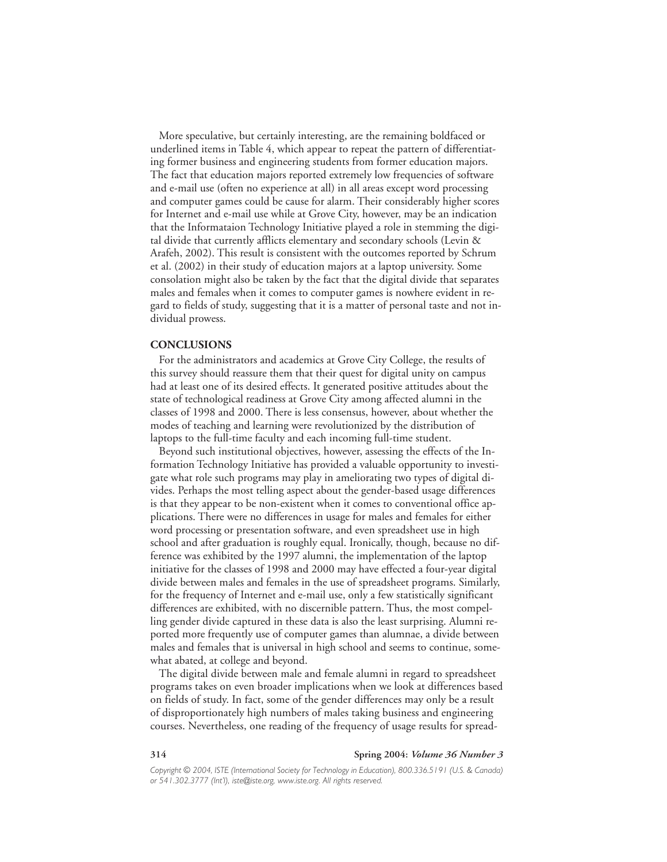More speculative, but certainly interesting, are the remaining boldfaced or underlined items in Table 4, which appear to repeat the pattern of differentiating former business and engineering students from former education majors. The fact that education majors reported extremely low frequencies of software and e-mail use (often no experience at all) in all areas except word processing and computer games could be cause for alarm. Their considerably higher scores for Internet and e-mail use while at Grove City, however, may be an indication that the Informataion Technology Initiative played a role in stemming the digital divide that currently afflicts elementary and secondary schools (Levin & Arafeh, 2002). This result is consistent with the outcomes reported by Schrum et al. (2002) in their study of education majors at a laptop university. Some consolation might also be taken by the fact that the digital divide that separates males and females when it comes to computer games is nowhere evident in regard to fields of study, suggesting that it is a matter of personal taste and not individual prowess.

# **CONCLUSIONS**

For the administrators and academics at Grove City College, the results of this survey should reassure them that their quest for digital unity on campus had at least one of its desired effects. It generated positive attitudes about the state of technological readiness at Grove City among affected alumni in the classes of 1998 and 2000. There is less consensus, however, about whether the modes of teaching and learning were revolutionized by the distribution of laptops to the full-time faculty and each incoming full-time student.

Beyond such institutional objectives, however, assessing the effects of the Information Technology Initiative has provided a valuable opportunity to investigate what role such programs may play in ameliorating two types of digital divides. Perhaps the most telling aspect about the gender-based usage differences is that they appear to be non-existent when it comes to conventional office applications. There were no differences in usage for males and females for either word processing or presentation software, and even spreadsheet use in high school and after graduation is roughly equal. Ironically, though, because no difference was exhibited by the 1997 alumni, the implementation of the laptop initiative for the classes of 1998 and 2000 may have effected a four-year digital divide between males and females in the use of spreadsheet programs. Similarly, for the frequency of Internet and e-mail use, only a few statistically significant differences are exhibited, with no discernible pattern. Thus, the most compelling gender divide captured in these data is also the least surprising. Alumni reported more frequently use of computer games than alumnae, a divide between males and females that is universal in high school and seems to continue, somewhat abated, at college and beyond.

The digital divide between male and female alumni in regard to spreadsheet programs takes on even broader implications when we look at differences based on fields of study. In fact, some of the gender differences may only be a result of disproportionately high numbers of males taking business and engineering courses. Nevertheless, one reading of the frequency of usage results for spread-

*Copyright © 2004, ISTE (International Society for Technology in Education), 800.336.5191 (U.S. & Canada) or 541.302.3777 (Int'l), iste@iste.org, www.iste.org. All rights reserved.*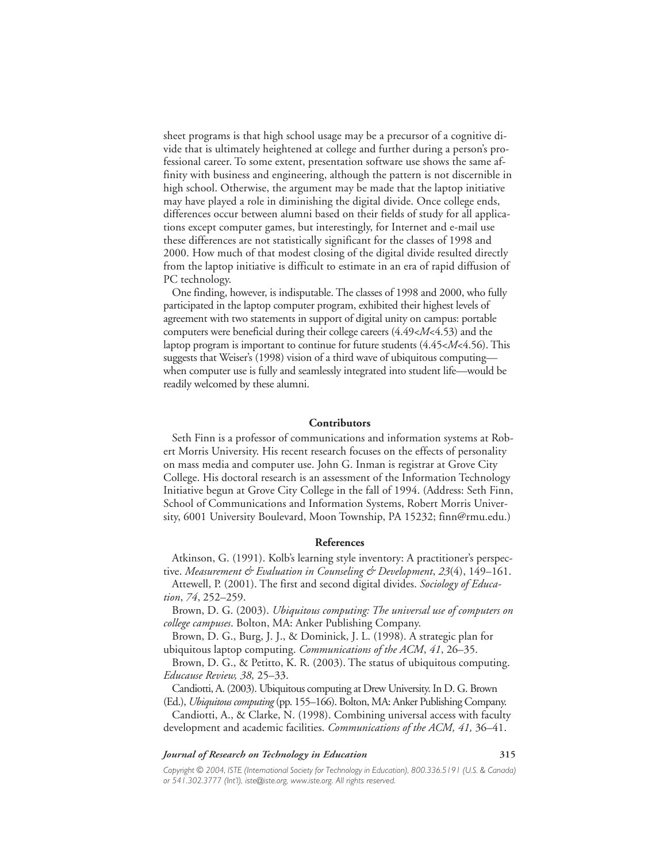sheet programs is that high school usage may be a precursor of a cognitive divide that is ultimately heightened at college and further during a person's professional career. To some extent, presentation software use shows the same affinity with business and engineering, although the pattern is not discernible in high school. Otherwise, the argument may be made that the laptop initiative may have played a role in diminishing the digital divide. Once college ends, differences occur between alumni based on their fields of study for all applications except computer games, but interestingly, for Internet and e-mail use these differences are not statistically significant for the classes of 1998 and 2000. How much of that modest closing of the digital divide resulted directly from the laptop initiative is difficult to estimate in an era of rapid diffusion of PC technology.

One finding, however, is indisputable. The classes of 1998 and 2000, who fully participated in the laptop computer program, exhibited their highest levels of agreement with two statements in support of digital unity on campus: portable computers were beneficial during their college careers (4.49<*M*<4.53) and the laptop program is important to continue for future students (4.45<*M*<4.56). This suggests that Weiser's (1998) vision of a third wave of ubiquitous computing when computer use is fully and seamlessly integrated into student life—would be readily welcomed by these alumni.

# **Contributors**

Seth Finn is a professor of communications and information systems at Robert Morris University. His recent research focuses on the effects of personality on mass media and computer use. John G. Inman is registrar at Grove City College. His doctoral research is an assessment of the Information Technology Initiative begun at Grove City College in the fall of 1994. (Address: Seth Finn, School of Communications and Information Systems, Robert Morris University, 6001 University Boulevard, Moon Township, PA 15232; finn@rmu.edu.)

### **References**

Atkinson, G. (1991). Kolb's learning style inventory: A practitioner's perspective. *Measurement & Evaluation in Counseling & Development*, *23*(4), 149–161.

Attewell, P. (2001). The first and second digital divides. *Sociology of Education*, *74*, 252–259.

Brown, D. G. (2003). *Ubiquitous computing: The universal use of computers on college campuses*. Bolton, MA: Anker Publishing Company.

Brown, D. G., Burg, J. J., & Dominick, J. L. (1998). A strategic plan for ubiquitous laptop computing. *Communications of the ACM*, *41*, 26–35.

Brown, D. G., & Petitto, K. R. (2003). The status of ubiquitous computing. *Educause Review, 38,* 25–33.

Candiotti, A. (2003). Ubiquitous computing at Drew University. In D. G. Brown (Ed.), *Ubiquitous computing* (pp. 155–166). Bolton, MA: Anker Publishing Company.

Candiotti, A., & Clarke, N. (1998). Combining universal access with faculty development and academic facilities. *Communications of the ACM, 41,* 36–41.

### *Journal of Research on Technology in Education* **315**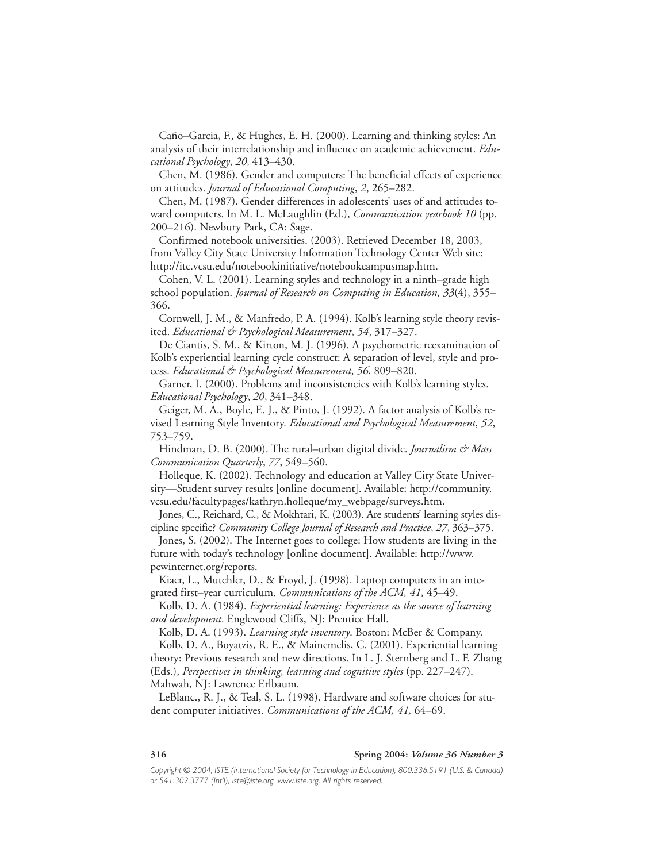Caño–Garcia, F., & Hughes, E. H. (2000). Learning and thinking styles: An analysis of their interrelationship and influence on academic achievement. *Educational Psychology*, *20,* 413–430.

Chen, M. (1986). Gender and computers: The beneficial effects of experience on attitudes. *Journal of Educational Computing*, *2*, 265–282.

Chen, M. (1987). Gender differences in adolescents' uses of and attitudes toward computers. In M. L. McLaughlin (Ed.), *Communication yearbook 10* (pp. 200–216). Newbury Park, CA: Sage.

Confirmed notebook universities. (2003). Retrieved December 18, 2003, from Valley City State University Information Technology Center Web site: http://itc.vcsu.edu/notebookinitiative/notebookcampusmap.htm.

Cohen, V. L. (2001). Learning styles and technology in a ninth–grade high school population. *Journal of Research on Computing in Education, 33*(4), 355– 366.

Cornwell, J. M., & Manfredo, P. A. (1994). Kolb's learning style theory revisited. *Educational & Psychological Measurement*, *54*, 317–327.

De Ciantis, S. M., & Kirton, M. J. (1996). A psychometric reexamination of Kolb's experiential learning cycle construct: A separation of level, style and process. *Educational & Psychological Measurement*, *56*, 809–820.

Garner, I. (2000). Problems and inconsistencies with Kolb's learning styles. *Educational Psychology*, *20*, 341–348.

Geiger, M. A., Boyle, E. J., & Pinto, J. (1992). A factor analysis of Kolb's revised Learning Style Inventory. *Educational and Psychological Measurement*, *52*, 753–759.

Hindman, D. B. (2000). The rural–urban digital divide. *Journalism & Mass Communication Quarterly*, *77*, 549–560.

Holleque, K. (2002). Technology and education at Valley City State University—Student survey results [online document]. Available: http://community. vcsu.edu/facultypages/kathryn.holleque/my\_webpage/surveys.htm.

Jones, C., Reichard, C., & Mokhtari, K. (2003). Are students' learning styles discipline specific? *Community College Journal of Research and Practice*, *27*, 363–375.

Jones, S. (2002). The Internet goes to college: How students are living in the future with today's technology [online document]. Available: http://www. pewinternet.org/reports.

Kiaer, L., Mutchler, D., & Froyd, J. (1998). Laptop computers in an integrated first–year curriculum. *Communications of the ACM, 41,* 45–49.

Kolb, D. A. (1984). *Experiential learning: Experience as the source of learning and development*. Englewood Cliffs, NJ: Prentice Hall.

Kolb, D. A. (1993). *Learning style inventory*. Boston: McBer & Company.

Kolb, D. A., Boyatzis, R. E., & Mainemelis, C. (2001). Experiential learning theory: Previous research and new directions. In L. J. Sternberg and L. F. Zhang (Eds.), *Perspectives in thinking, learning and cognitive styles* (pp. 227–247). Mahwah, NJ: Lawrence Erlbaum.

LeBlanc., R. J., & Teal, S. L. (1998). Hardware and software choices for student computer initiatives. *Communications of the ACM, 41,* 64–69.

*Copyright © 2004, ISTE (International Society for Technology in Education), 800.336.5191 (U.S. & Canada) or 541.302.3777 (Int'l), iste@iste.org, www.iste.org. All rights reserved.*